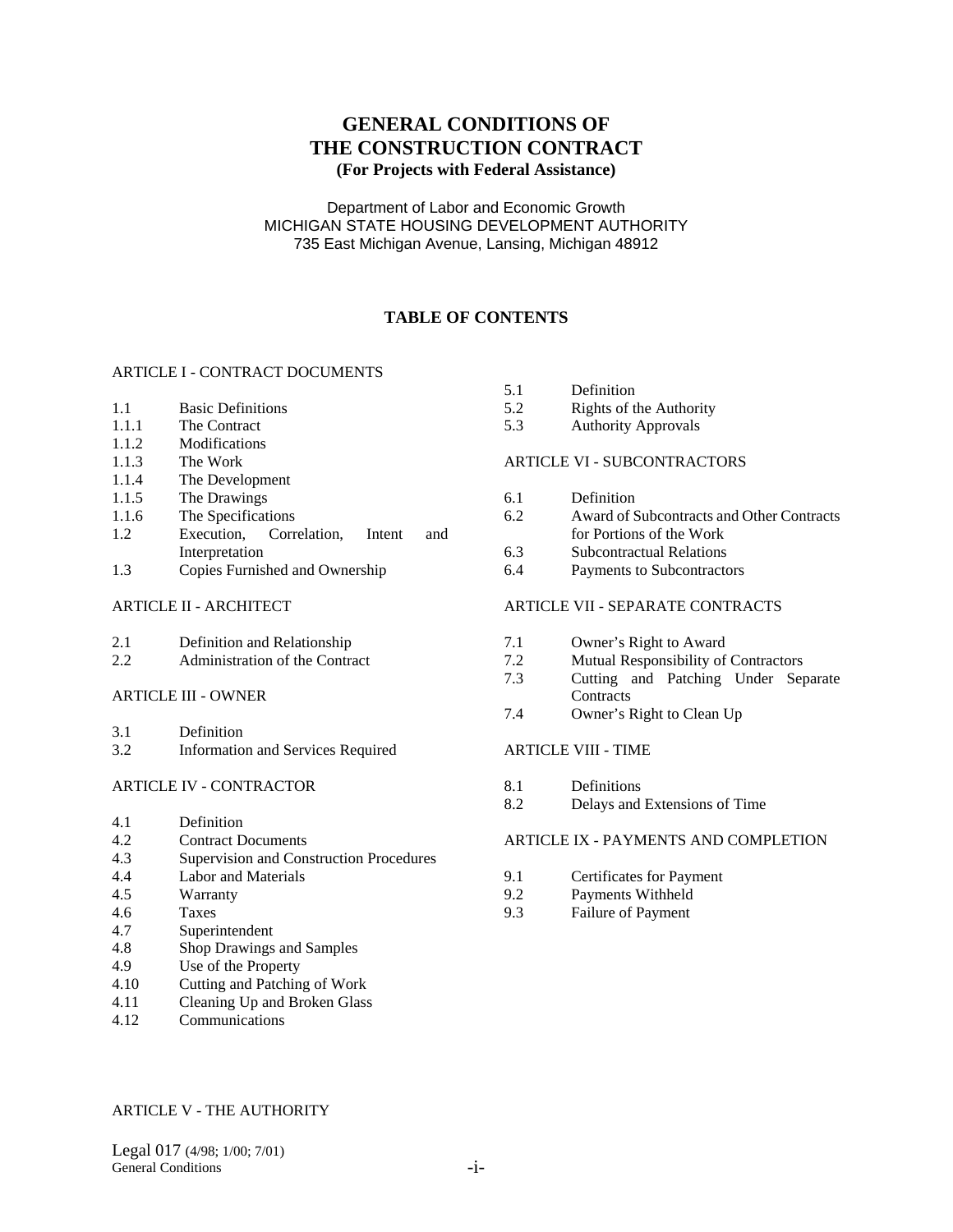## **GENERAL CONDITIONS OF THE CONSTRUCTION CONTRACT (For Projects with Federal Assistance)**

Department of Labor and Economic Growth MICHIGAN STATE HOUSING DEVELOPMENT AUTHORITY 735 East Michigan Avenue, Lansing, Michigan 48912

#### **TABLE OF CONTENTS**

#### ARTICLE I - CONTRACT DOCUMENTS

- 1.1 Basic Definitions
- 1.1.1 The Contract
- 1.1.2 Modifications
- 1.1.3 The Work
- 1.1.4 The Development
- 1.1.5 The Drawings
- 1.1.6 The Specifications
- 1.2 Execution, Correlation, Intent and Interpretation
- 1.3 Copies Furnished and Ownership

#### ARTICLE II - ARCHITECT

| 2.1 | Definition and Relationship |
|-----|-----------------------------|
|     |                             |

2.2 Administration of the Contract

#### ARTICLE III - OWNER

- 3.1 Definition
- 3.2 Information and Services Required

#### ARTICLE IV - CONTRACTOR

- 4.1 Definition
- 4.2 Contract Documents
- 4.3 Supervision and Construction Procedures
- 4.4 Labor and Materials<br>4.5 Warranty
- Warranty
- 4.6 Taxes
- 4.7 Superintendent
- 4.8 Shop Drawings and Samples
- 4.9 Use of the Property
- 4.10 Cutting and Patching of Work
- 4.11 Cleaning Up and Broken Glass
- 4.12 Communications
- 5.1 Definition
- 5.2 Rights of the Authority
- 5.3 Authority Approvals

#### ARTICLE VI - SUBCONTRACTORS

- 6.1 Definition
- 6.2 Award of Subcontracts and Other Contracts for Portions of the Work
- 6.3 Subcontractual Relations
- 6.4 Payments to Subcontractors

#### ARTICLE VII - SEPARATE CONTRACTS

- 7.1 Owner's Right to Award
- 7.2 Mutual Responsibility of Contractors
- 7.3 Cutting and Patching Under Separate **Contracts**
- 7.4 Owner's Right to Clean Up

#### ARTICLE VIII - TIME

- 8.1 Definitions
- 8.2 Delays and Extensions of Time

#### ARTICLE IX - PAYMENTS AND COMPLETION

- 9.1 Certificates for Payment
- 9.2 Payments Withheld
- 9.3 Failure of Payment

#### ARTICLE V - THE AUTHORITY

Legal 017 (4/98; 1/00; 7/01) General Conditions -i-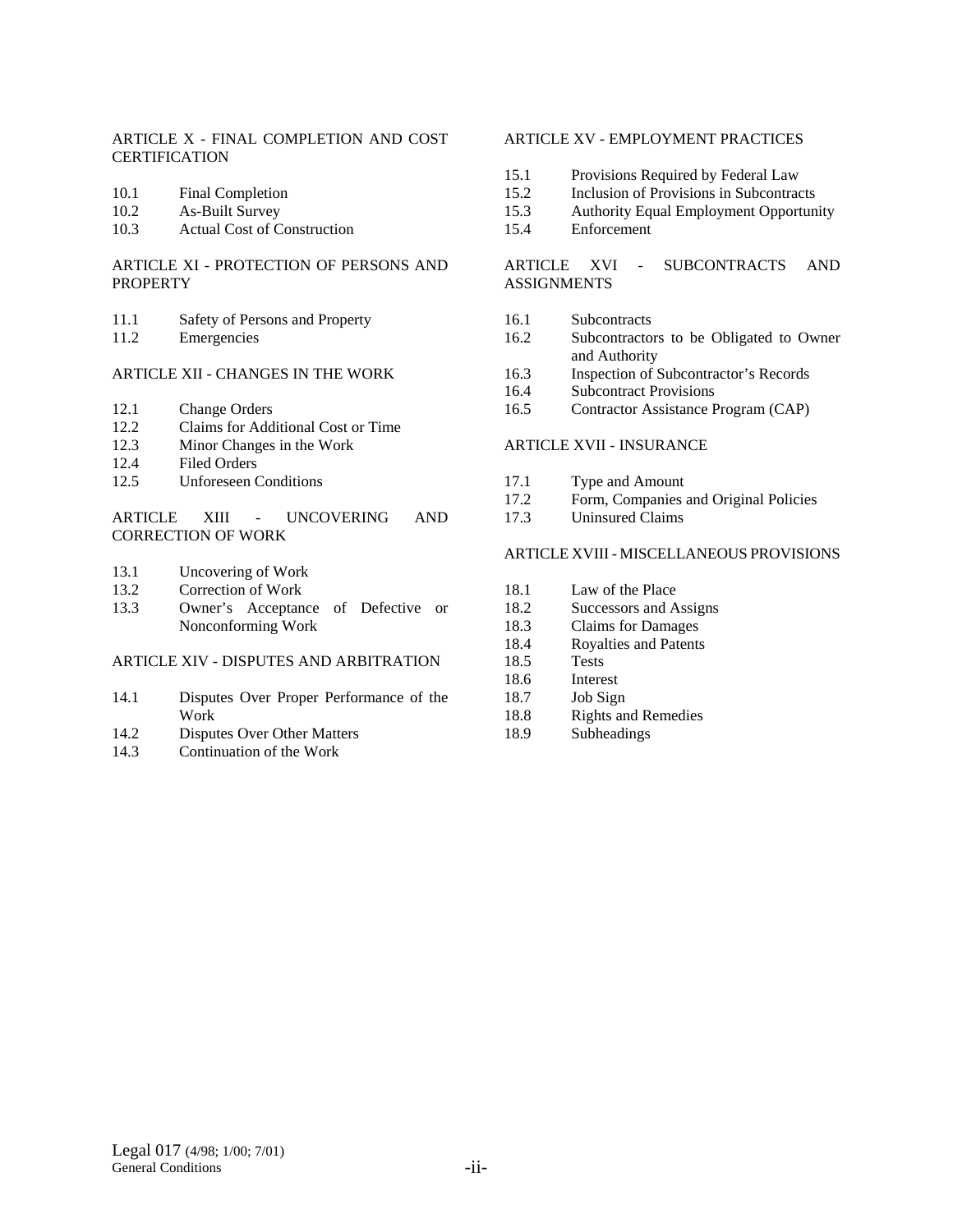#### ARTICLE X - FINAL COMPLETION AND COST **CERTIFICATION**

- 10.1 Final Completion
- 10.2 As-Built Survey
- 10.3 Actual Cost of Construction

#### ARTICLE XI - PROTECTION OF PERSONS AND **PROPERTY**

- 11.1 Safety of Persons and Property
- 11.2 Emergencies

#### ARTICLE XII - CHANGES IN THE WORK

- 12.1 Change Orders
- 12.2 Claims for Additional Cost or Time
- 12.3 Minor Changes in the Work
- 12.4 Filed Orders
- 12.5 Unforeseen Conditions

#### ARTICLE XIII - UNCOVERING AND CORRECTION OF WORK

- 13.1 Uncovering of Work
- 13.2 Correction of Work
- 13.3 Owner's Acceptance of Defective or Nonconforming Work

#### ARTICLE XIV - DISPUTES AND ARBITRATION

- 14.1 Disputes Over Proper Performance of the Work
- 14.2 Disputes Over Other Matters
- 14.3 Continuation of the Work

#### ARTICLE XV - EMPLOYMENT PRACTICES

- 15.1 Provisions Required by Federal Law
- 15.2 Inclusion of Provisions in Subcontracts
- 15.3 Authority Equal Employment Opportunity
- 15.4 Enforcement

#### ARTICLE XVI - SUBCONTRACTS AND **ASSIGNMENTS**

- 16.1 Subcontracts
- 16.2 Subcontractors to be Obligated to Owner and Authority
- 16.3 Inspection of Subcontractor's Records
- 16.4 Subcontract Provisions
- 16.5 Contractor Assistance Program (CAP)

#### ARTICLE XVII - INSURANCE

- 17.1 Type and Amount
- 17.2 Form, Companies and Original Policies
- 17.3 Uninsured Claims

#### ARTICLE XVIII - MISCELLANEOUS PROVISIONS

- 18.1 Law of the Place
- 18.2 Successors and Assigns
- 18.3 Claims for Damages
- 18.4 Royalties and Patents
- 18.5 Tests
- 18.6 Interest
- 18.7 Job Sign
- 18.8 Rights and Remedies
- 18.9 Subheadings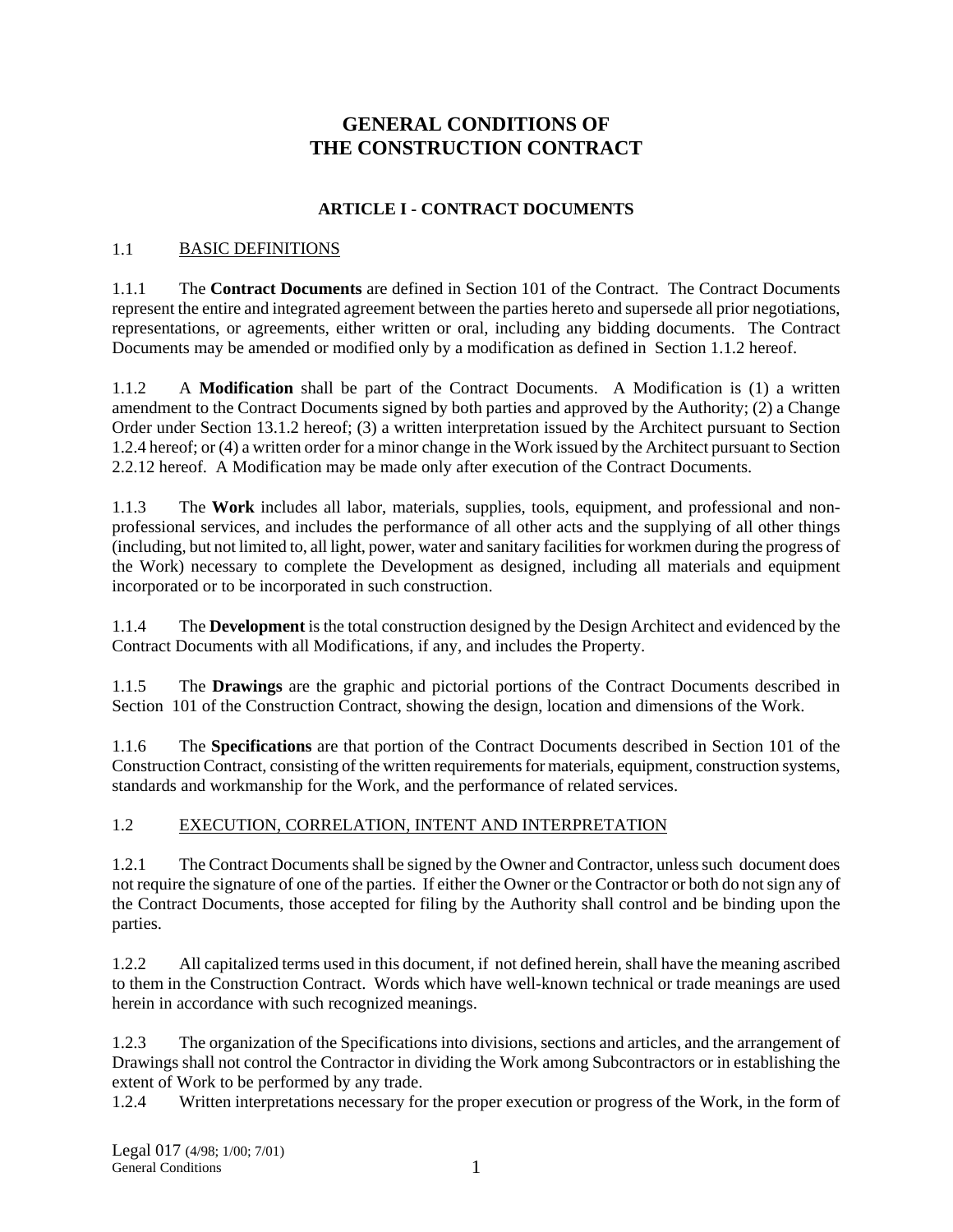# **GENERAL CONDITIONS OF THE CONSTRUCTION CONTRACT**

# **ARTICLE I - CONTRACT DOCUMENTS**

# 1.1 BASIC DEFINITIONS

1.1.1 The **Contract Documents** are defined in Section 101 of the Contract. The Contract Documents represent the entire and integrated agreement between the parties hereto and supersede all prior negotiations, representations, or agreements, either written or oral, including any bidding documents. The Contract Documents may be amended or modified only by a modification as defined in Section 1.1.2 hereof.

1.1.2 A **Modification** shall be part of the Contract Documents. A Modification is (1) a written amendment to the Contract Documents signed by both parties and approved by the Authority; (2) a Change Order under Section 13.1.2 hereof; (3) a written interpretation issued by the Architect pursuant to Section 1.2.4 hereof; or (4) a written order for a minor change in the Work issued by the Architect pursuant to Section 2.2.12 hereof. A Modification may be made only after execution of the Contract Documents.

1.1.3 The **Work** includes all labor, materials, supplies, tools, equipment, and professional and nonprofessional services, and includes the performance of all other acts and the supplying of all other things (including, but not limited to, all light, power, water and sanitary facilities for workmen during the progress of the Work) necessary to complete the Development as designed, including all materials and equipment incorporated or to be incorporated in such construction.

1.1.4 The **Development** is the total construction designed by the Design Architect and evidenced by the Contract Documents with all Modifications, if any, and includes the Property.

1.1.5 The **Drawings** are the graphic and pictorial portions of the Contract Documents described in Section 101 of the Construction Contract, showing the design, location and dimensions of the Work.

1.1.6 The **Specifications** are that portion of the Contract Documents described in Section 101 of the Construction Contract, consisting of the written requirements for materials, equipment, construction systems, standards and workmanship for the Work, and the performance of related services.

# 1.2 EXECUTION, CORRELATION, INTENT AND INTERPRETATION

1.2.1 The Contract Documents shall be signed by the Owner and Contractor, unless such document does not require the signature of one of the parties. If either the Owner or the Contractor or both do not sign any of the Contract Documents, those accepted for filing by the Authority shall control and be binding upon the parties.

1.2.2 All capitalized terms used in this document, if not defined herein, shall have the meaning ascribed to them in the Construction Contract. Words which have well-known technical or trade meanings are used herein in accordance with such recognized meanings.

1.2.3 The organization of the Specifications into divisions, sections and articles, and the arrangement of Drawings shall not control the Contractor in dividing the Work among Subcontractors or in establishing the extent of Work to be performed by any trade.

1.2.4 Written interpretations necessary for the proper execution or progress of the Work, in the form of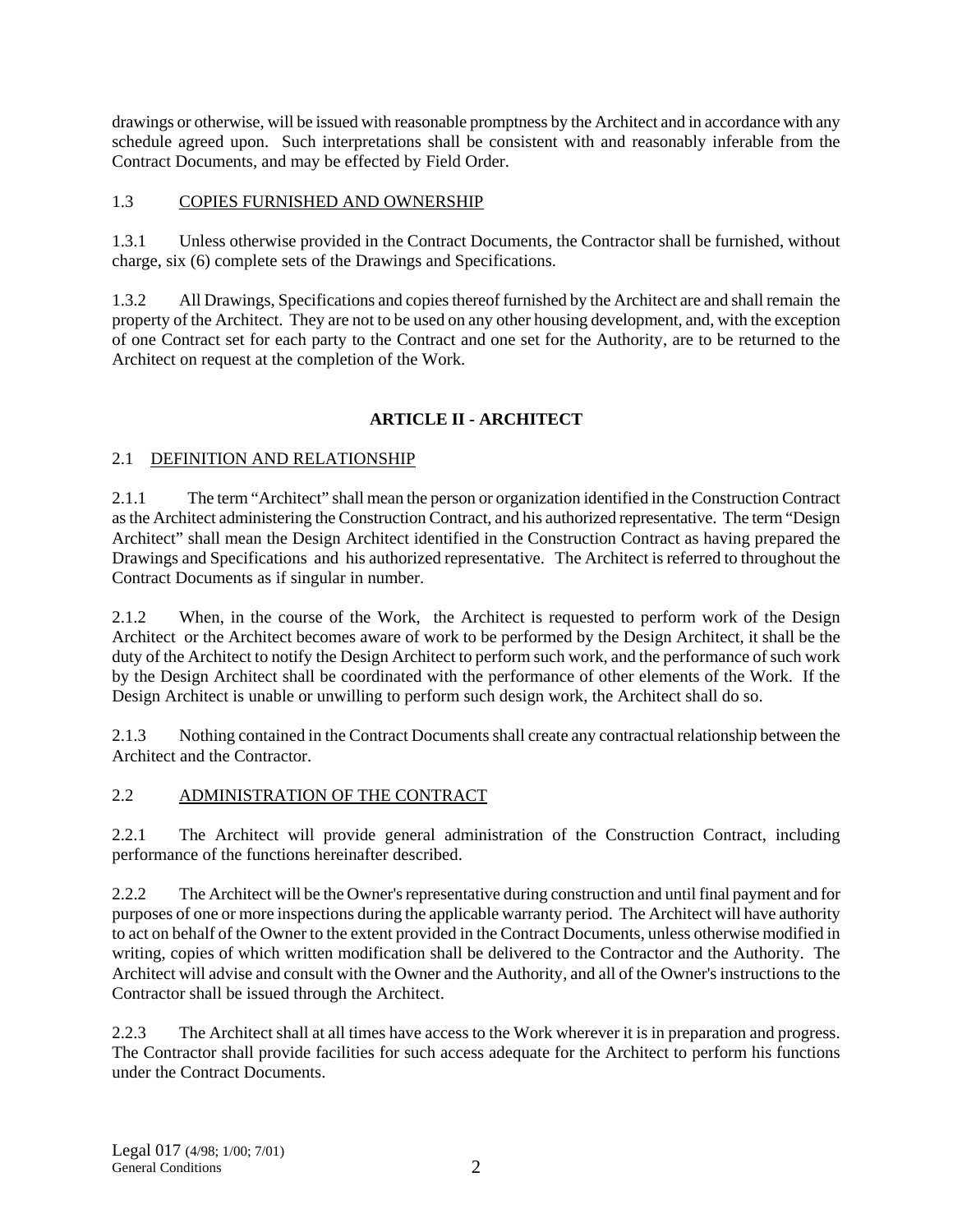drawings or otherwise, will be issued with reasonable promptness by the Architect and in accordance with any schedule agreed upon. Such interpretations shall be consistent with and reasonably inferable from the Contract Documents, and may be effected by Field Order.

## 1.3 COPIES FURNISHED AND OWNERSHIP

1.3.1 Unless otherwise provided in the Contract Documents, the Contractor shall be furnished, without charge, six (6) complete sets of the Drawings and Specifications.

1.3.2 All Drawings, Specifications and copies thereof furnished by the Architect are and shall remain the property of the Architect. They are not to be used on any other housing development, and, with the exception of one Contract set for each party to the Contract and one set for the Authority, are to be returned to the Architect on request at the completion of the Work.

# **ARTICLE II - ARCHITECT**

# 2.1 DEFINITION AND RELATIONSHIP

2.1.1 The term "Architect" shall mean the person or organization identified in the Construction Contract as the Architect administering the Construction Contract, and his authorized representative. The term "Design Architect" shall mean the Design Architect identified in the Construction Contract as having prepared the Drawings and Specifications and his authorized representative. The Architect is referred to throughout the Contract Documents as if singular in number.

2.1.2 When, in the course of the Work, the Architect is requested to perform work of the Design Architect or the Architect becomes aware of work to be performed by the Design Architect, it shall be the duty of the Architect to notify the Design Architect to perform such work, and the performance of such work by the Design Architect shall be coordinated with the performance of other elements of the Work. If the Design Architect is unable or unwilling to perform such design work, the Architect shall do so.

2.1.3 Nothing contained in the Contract Documents shall create any contractual relationship between the Architect and the Contractor.

## 2.2 ADMINISTRATION OF THE CONTRACT

2.2.1 The Architect will provide general administration of the Construction Contract, including performance of the functions hereinafter described.

2.2.2 The Architect will be the Owner's representative during construction and until final payment and for purposes of one or more inspections during the applicable warranty period. The Architect will have authority to act on behalf of the Owner to the extent provided in the Contract Documents, unless otherwise modified in writing, copies of which written modification shall be delivered to the Contractor and the Authority. The Architect will advise and consult with the Owner and the Authority, and all of the Owner's instructions to the Contractor shall be issued through the Architect.

2.2.3 The Architect shall at all times have access to the Work wherever it is in preparation and progress. The Contractor shall provide facilities for such access adequate for the Architect to perform his functions under the Contract Documents.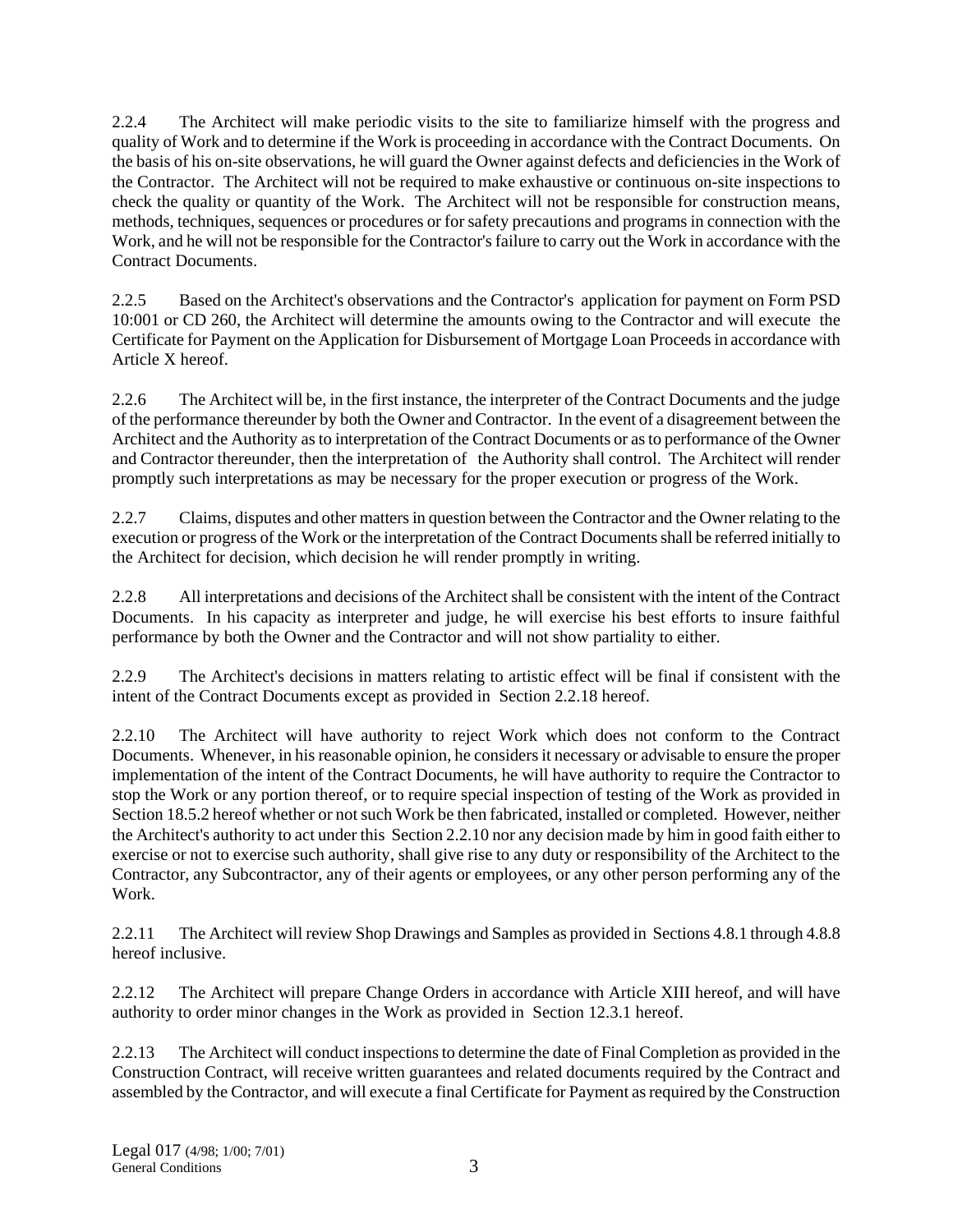2.2.4 The Architect will make periodic visits to the site to familiarize himself with the progress and quality of Work and to determine if the Work is proceeding in accordance with the Contract Documents. On the basis of his on-site observations, he will guard the Owner against defects and deficiencies in the Work of the Contractor. The Architect will not be required to make exhaustive or continuous on-site inspections to check the quality or quantity of the Work. The Architect will not be responsible for construction means, methods, techniques, sequences or procedures or for safety precautions and programs in connection with the Work, and he will not be responsible for the Contractor's failure to carry out the Work in accordance with the Contract Documents.

2.2.5 Based on the Architect's observations and the Contractor's application for payment on Form PSD 10:001 or CD 260, the Architect will determine the amounts owing to the Contractor and will execute the Certificate for Payment on the Application for Disbursement of Mortgage Loan Proceeds in accordance with Article X hereof.

2.2.6 The Architect will be, in the first instance, the interpreter of the Contract Documents and the judge of the performance thereunder by both the Owner and Contractor. In the event of a disagreement between the Architect and the Authority as to interpretation of the Contract Documents or as to performance of the Owner and Contractor thereunder, then the interpretation of the Authority shall control. The Architect will render promptly such interpretations as may be necessary for the proper execution or progress of the Work.

2.2.7 Claims, disputes and other matters in question between the Contractor and the Owner relating to the execution or progress of the Work or the interpretation of the Contract Documents shall be referred initially to the Architect for decision, which decision he will render promptly in writing.

2.2.8 All interpretations and decisions of the Architect shall be consistent with the intent of the Contract Documents. In his capacity as interpreter and judge, he will exercise his best efforts to insure faithful performance by both the Owner and the Contractor and will not show partiality to either.

2.2.9 The Architect's decisions in matters relating to artistic effect will be final if consistent with the intent of the Contract Documents except as provided in Section 2.2.18 hereof.

2.2.10 The Architect will have authority to reject Work which does not conform to the Contract Documents. Whenever, in his reasonable opinion, he considers it necessary or advisable to ensure the proper implementation of the intent of the Contract Documents, he will have authority to require the Contractor to stop the Work or any portion thereof, or to require special inspection of testing of the Work as provided in Section 18.5.2 hereof whether or not such Work be then fabricated, installed or completed. However, neither the Architect's authority to act under this Section 2.2.10 nor any decision made by him in good faith either to exercise or not to exercise such authority, shall give rise to any duty or responsibility of the Architect to the Contractor, any Subcontractor, any of their agents or employees, or any other person performing any of the Work.

2.2.11 The Architect will review Shop Drawings and Samples as provided in Sections 4.8.1 through 4.8.8 hereof inclusive.

2.2.12 The Architect will prepare Change Orders in accordance with Article XIII hereof, and will have authority to order minor changes in the Work as provided in Section 12.3.1 hereof.

2.2.13 The Architect will conduct inspections to determine the date of Final Completion as provided in the Construction Contract, will receive written guarantees and related documents required by the Contract and assembled by the Contractor, and will execute a final Certificate for Payment as required by the Construction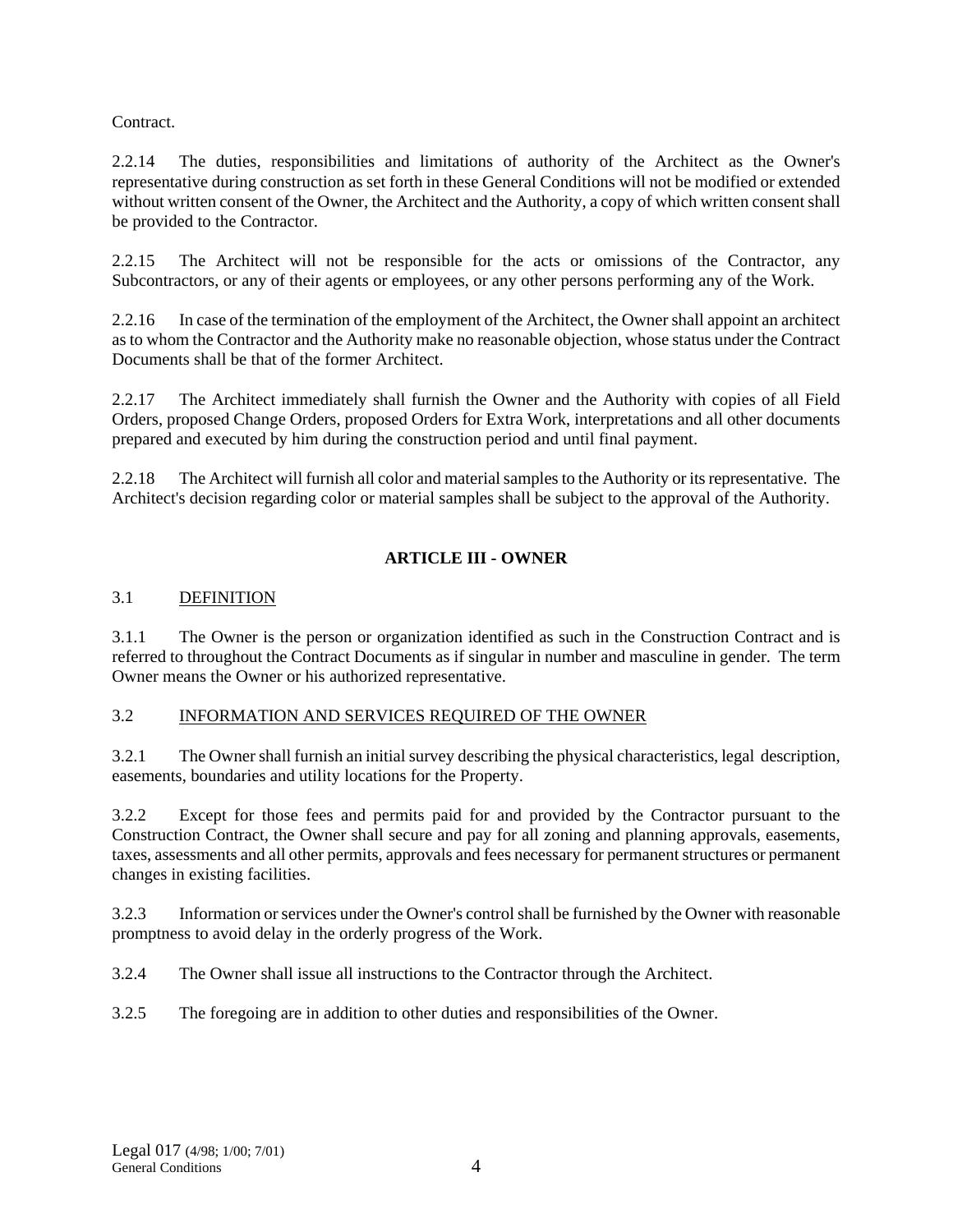Contract.

2.2.14 The duties, responsibilities and limitations of authority of the Architect as the Owner's representative during construction as set forth in these General Conditions will not be modified or extended without written consent of the Owner, the Architect and the Authority, a copy of which written consent shall be provided to the Contractor.

2.2.15 The Architect will not be responsible for the acts or omissions of the Contractor, any Subcontractors, or any of their agents or employees, or any other persons performing any of the Work.

2.2.16 In case of the termination of the employment of the Architect, the Owner shall appoint an architect as to whom the Contractor and the Authority make no reasonable objection, whose status under the Contract Documents shall be that of the former Architect.

2.2.17 The Architect immediately shall furnish the Owner and the Authority with copies of all Field Orders, proposed Change Orders, proposed Orders for Extra Work, interpretations and all other documents prepared and executed by him during the construction period and until final payment.

2.2.18 The Architect will furnish all color and material samples to the Authority or its representative. The Architect's decision regarding color or material samples shall be subject to the approval of the Authority.

# **ARTICLE III - OWNER**

## 3.1 DEFINITION

3.1.1 The Owner is the person or organization identified as such in the Construction Contract and is referred to throughout the Contract Documents as if singular in number and masculine in gender. The term Owner means the Owner or his authorized representative.

### 3.2 INFORMATION AND SERVICES REQUIRED OF THE OWNER

3.2.1 The Owner shall furnish an initial survey describing the physical characteristics, legal description, easements, boundaries and utility locations for the Property.

3.2.2 Except for those fees and permits paid for and provided by the Contractor pursuant to the Construction Contract, the Owner shall secure and pay for all zoning and planning approvals, easements, taxes, assessments and all other permits, approvals and fees necessary for permanent structures or permanent changes in existing facilities.

3.2.3 Information or services under the Owner's control shall be furnished by the Owner with reasonable promptness to avoid delay in the orderly progress of the Work.

3.2.4 The Owner shall issue all instructions to the Contractor through the Architect.

3.2.5 The foregoing are in addition to other duties and responsibilities of the Owner.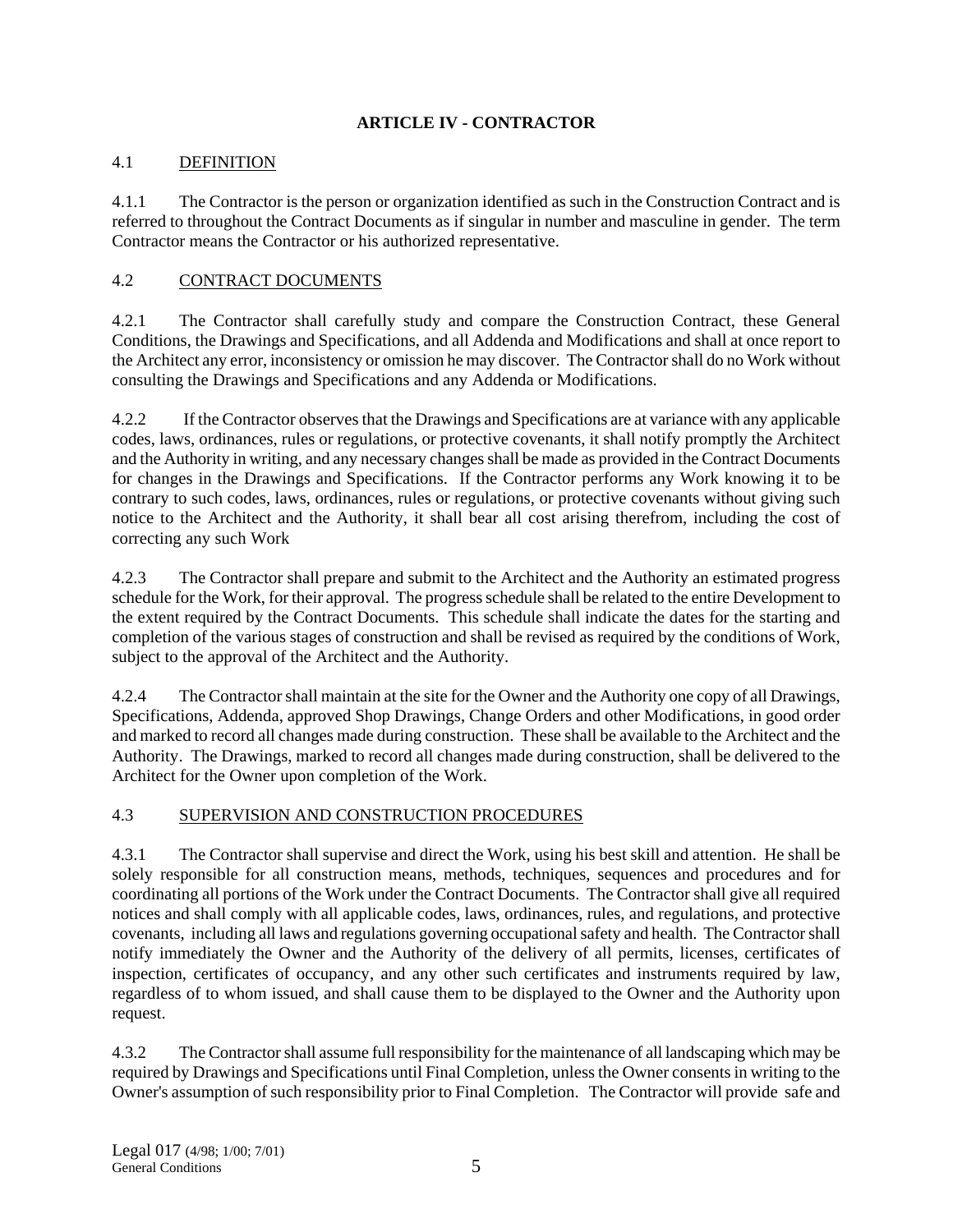## **ARTICLE IV - CONTRACTOR**

## 4.1 DEFINITION

4.1.1 The Contractor is the person or organization identified as such in the Construction Contract and is referred to throughout the Contract Documents as if singular in number and masculine in gender. The term Contractor means the Contractor or his authorized representative.

## 4.2 CONTRACT DOCUMENTS

4.2.1 The Contractor shall carefully study and compare the Construction Contract, these General Conditions, the Drawings and Specifications, and all Addenda and Modifications and shall at once report to the Architect any error, inconsistency or omission he may discover. The Contractor shall do no Work without consulting the Drawings and Specifications and any Addenda or Modifications.

4.2.2 If the Contractor observes that the Drawings and Specifications are at variance with any applicable codes, laws, ordinances, rules or regulations, or protective covenants, it shall notify promptly the Architect and the Authority in writing, and any necessary changes shall be made as provided in the Contract Documents for changes in the Drawings and Specifications. If the Contractor performs any Work knowing it to be contrary to such codes, laws, ordinances, rules or regulations, or protective covenants without giving such notice to the Architect and the Authority, it shall bear all cost arising therefrom, including the cost of correcting any such Work

4.2.3 The Contractor shall prepare and submit to the Architect and the Authority an estimated progress schedule for the Work, for their approval. The progress schedule shall be related to the entire Development to the extent required by the Contract Documents. This schedule shall indicate the dates for the starting and completion of the various stages of construction and shall be revised as required by the conditions of Work, subject to the approval of the Architect and the Authority.

4.2.4 The Contractor shall maintain at the site for the Owner and the Authority one copy of all Drawings, Specifications, Addenda, approved Shop Drawings, Change Orders and other Modifications, in good order and marked to record all changes made during construction. These shall be available to the Architect and the Authority. The Drawings, marked to record all changes made during construction, shall be delivered to the Architect for the Owner upon completion of the Work.

### 4.3 SUPERVISION AND CONSTRUCTION PROCEDURES

4.3.1 The Contractor shall supervise and direct the Work, using his best skill and attention. He shall be solely responsible for all construction means, methods, techniques, sequences and procedures and for coordinating all portions of the Work under the Contract Documents. The Contractor shall give all required notices and shall comply with all applicable codes, laws, ordinances, rules, and regulations, and protective covenants, including all laws and regulations governing occupational safety and health. The Contractor shall notify immediately the Owner and the Authority of the delivery of all permits, licenses, certificates of inspection, certificates of occupancy, and any other such certificates and instruments required by law, regardless of to whom issued, and shall cause them to be displayed to the Owner and the Authority upon request.

4.3.2 The Contractor shall assume full responsibility for the maintenance of all landscaping which may be required by Drawings and Specifications until Final Completion, unless the Owner consents in writing to the Owner's assumption of such responsibility prior to Final Completion. The Contractor will provide safe and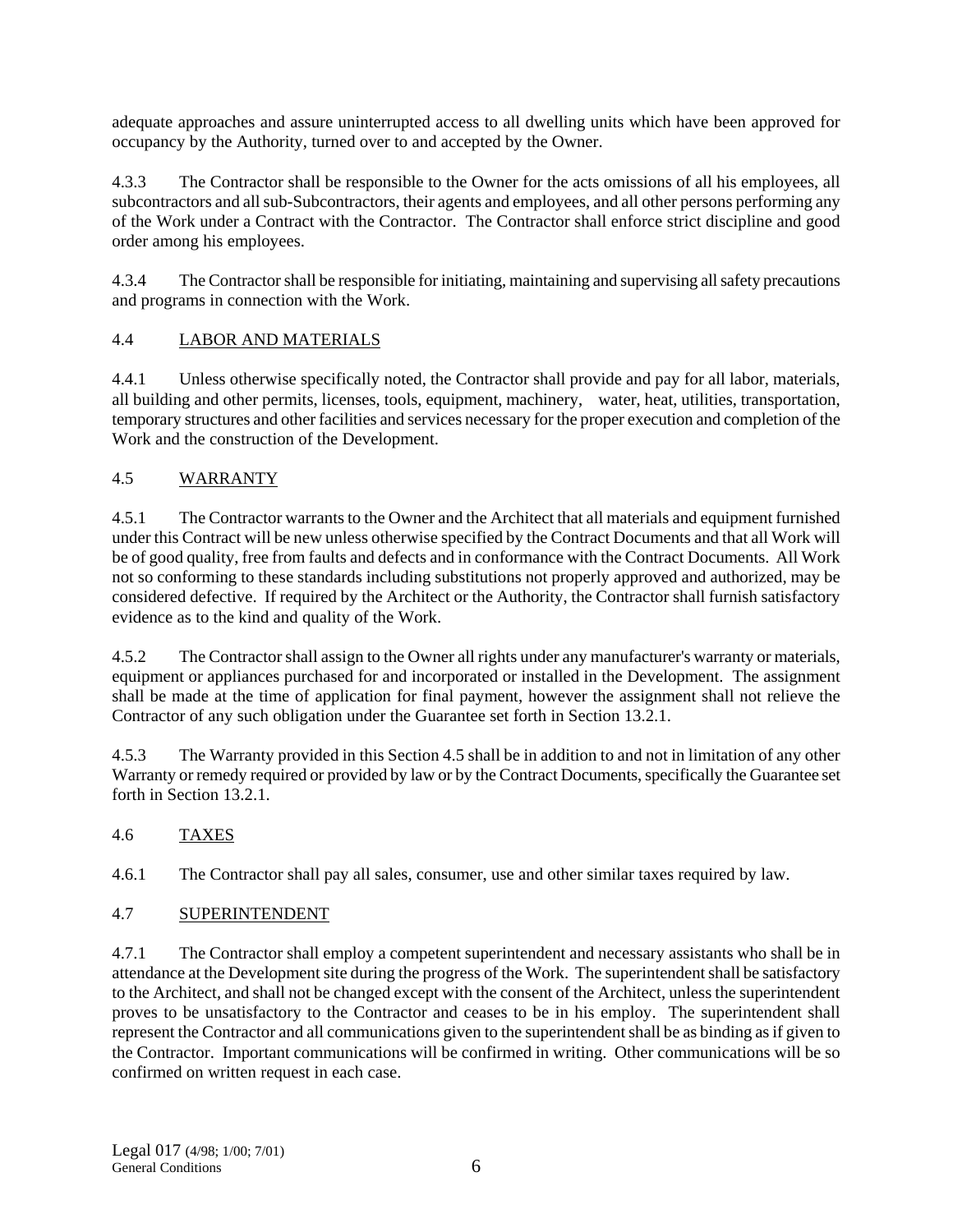adequate approaches and assure uninterrupted access to all dwelling units which have been approved for occupancy by the Authority, turned over to and accepted by the Owner.

4.3.3 The Contractor shall be responsible to the Owner for the acts omissions of all his employees, all subcontractors and all sub-Subcontractors, their agents and employees, and all other persons performing any of the Work under a Contract with the Contractor. The Contractor shall enforce strict discipline and good order among his employees.

4.3.4 The Contractor shall be responsible for initiating, maintaining and supervising all safety precautions and programs in connection with the Work.

# 4.4 LABOR AND MATERIALS

4.4.1 Unless otherwise specifically noted, the Contractor shall provide and pay for all labor, materials, all building and other permits, licenses, tools, equipment, machinery, water, heat, utilities, transportation, temporary structures and other facilities and services necessary for the proper execution and completion of the Work and the construction of the Development.

# 4.5 WARRANTY

4.5.1 The Contractor warrants to the Owner and the Architect that all materials and equipment furnished under this Contract will be new unless otherwise specified by the Contract Documents and that all Work will be of good quality, free from faults and defects and in conformance with the Contract Documents. All Work not so conforming to these standards including substitutions not properly approved and authorized, may be considered defective. If required by the Architect or the Authority, the Contractor shall furnish satisfactory evidence as to the kind and quality of the Work.

4.5.2 The Contractor shall assign to the Owner all rights under any manufacturer's warranty or materials, equipment or appliances purchased for and incorporated or installed in the Development. The assignment shall be made at the time of application for final payment, however the assignment shall not relieve the Contractor of any such obligation under the Guarantee set forth in Section 13.2.1.

4.5.3 The Warranty provided in this Section 4.5 shall be in addition to and not in limitation of any other Warranty or remedy required or provided by law or by the Contract Documents, specifically the Guarantee set forth in Section 13.2.1.

# 4.6 TAXES

4.6.1 The Contractor shall pay all sales, consumer, use and other similar taxes required by law.

### 4.7 SUPERINTENDENT

4.7.1 The Contractor shall employ a competent superintendent and necessary assistants who shall be in attendance at the Development site during the progress of the Work. The superintendent shall be satisfactory to the Architect, and shall not be changed except with the consent of the Architect, unless the superintendent proves to be unsatisfactory to the Contractor and ceases to be in his employ. The superintendent shall represent the Contractor and all communications given to the superintendent shall be as binding as if given to the Contractor. Important communications will be confirmed in writing. Other communications will be so confirmed on written request in each case.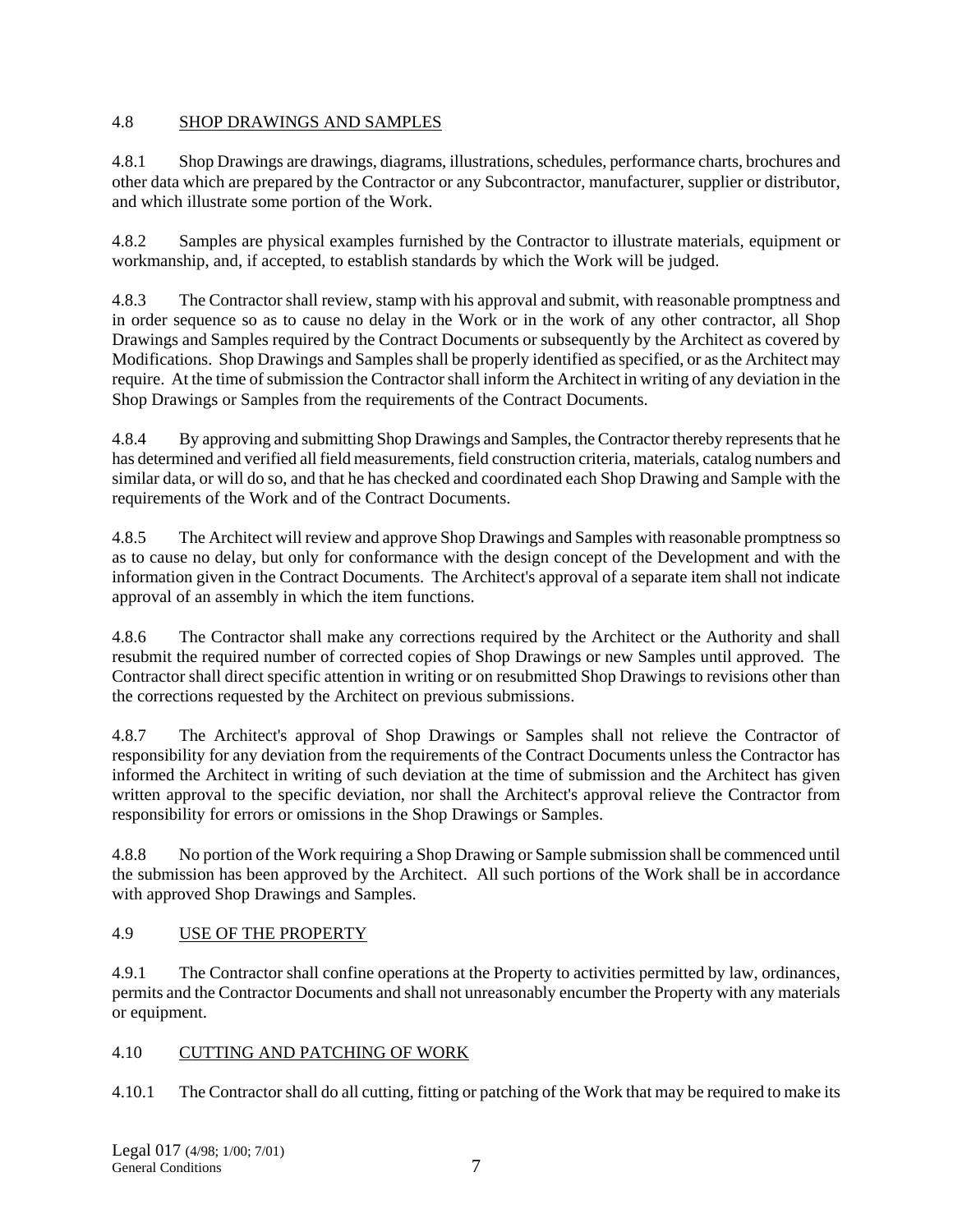### 4.8 SHOP DRAWINGS AND SAMPLES

4.8.1 Shop Drawings are drawings, diagrams, illustrations, schedules, performance charts, brochures and other data which are prepared by the Contractor or any Subcontractor, manufacturer, supplier or distributor, and which illustrate some portion of the Work.

4.8.2 Samples are physical examples furnished by the Contractor to illustrate materials, equipment or workmanship, and, if accepted, to establish standards by which the Work will be judged.

4.8.3 The Contractor shall review, stamp with his approval and submit, with reasonable promptness and in order sequence so as to cause no delay in the Work or in the work of any other contractor, all Shop Drawings and Samples required by the Contract Documents or subsequently by the Architect as covered by Modifications. Shop Drawings and Samples shall be properly identified as specified, or as the Architect may require. At the time of submission the Contractor shall inform the Architect in writing of any deviation in the Shop Drawings or Samples from the requirements of the Contract Documents.

4.8.4 By approving and submitting Shop Drawings and Samples, the Contractor thereby represents that he has determined and verified all field measurements, field construction criteria, materials, catalog numbers and similar data, or will do so, and that he has checked and coordinated each Shop Drawing and Sample with the requirements of the Work and of the Contract Documents.

4.8.5 The Architect will review and approve Shop Drawings and Samples with reasonable promptness so as to cause no delay, but only for conformance with the design concept of the Development and with the information given in the Contract Documents. The Architect's approval of a separate item shall not indicate approval of an assembly in which the item functions.

4.8.6 The Contractor shall make any corrections required by the Architect or the Authority and shall resubmit the required number of corrected copies of Shop Drawings or new Samples until approved. The Contractor shall direct specific attention in writing or on resubmitted Shop Drawings to revisions other than the corrections requested by the Architect on previous submissions.

4.8.7 The Architect's approval of Shop Drawings or Samples shall not relieve the Contractor of responsibility for any deviation from the requirements of the Contract Documents unless the Contractor has informed the Architect in writing of such deviation at the time of submission and the Architect has given written approval to the specific deviation, nor shall the Architect's approval relieve the Contractor from responsibility for errors or omissions in the Shop Drawings or Samples.

4.8.8 No portion of the Work requiring a Shop Drawing or Sample submission shall be commenced until the submission has been approved by the Architect. All such portions of the Work shall be in accordance with approved Shop Drawings and Samples.

# 4.9 USE OF THE PROPERTY

4.9.1 The Contractor shall confine operations at the Property to activities permitted by law, ordinances, permits and the Contractor Documents and shall not unreasonably encumber the Property with any materials or equipment.

# 4.10 CUTTING AND PATCHING OF WORK

4.10.1 The Contractor shall do all cutting, fitting or patching of the Work that may be required to make its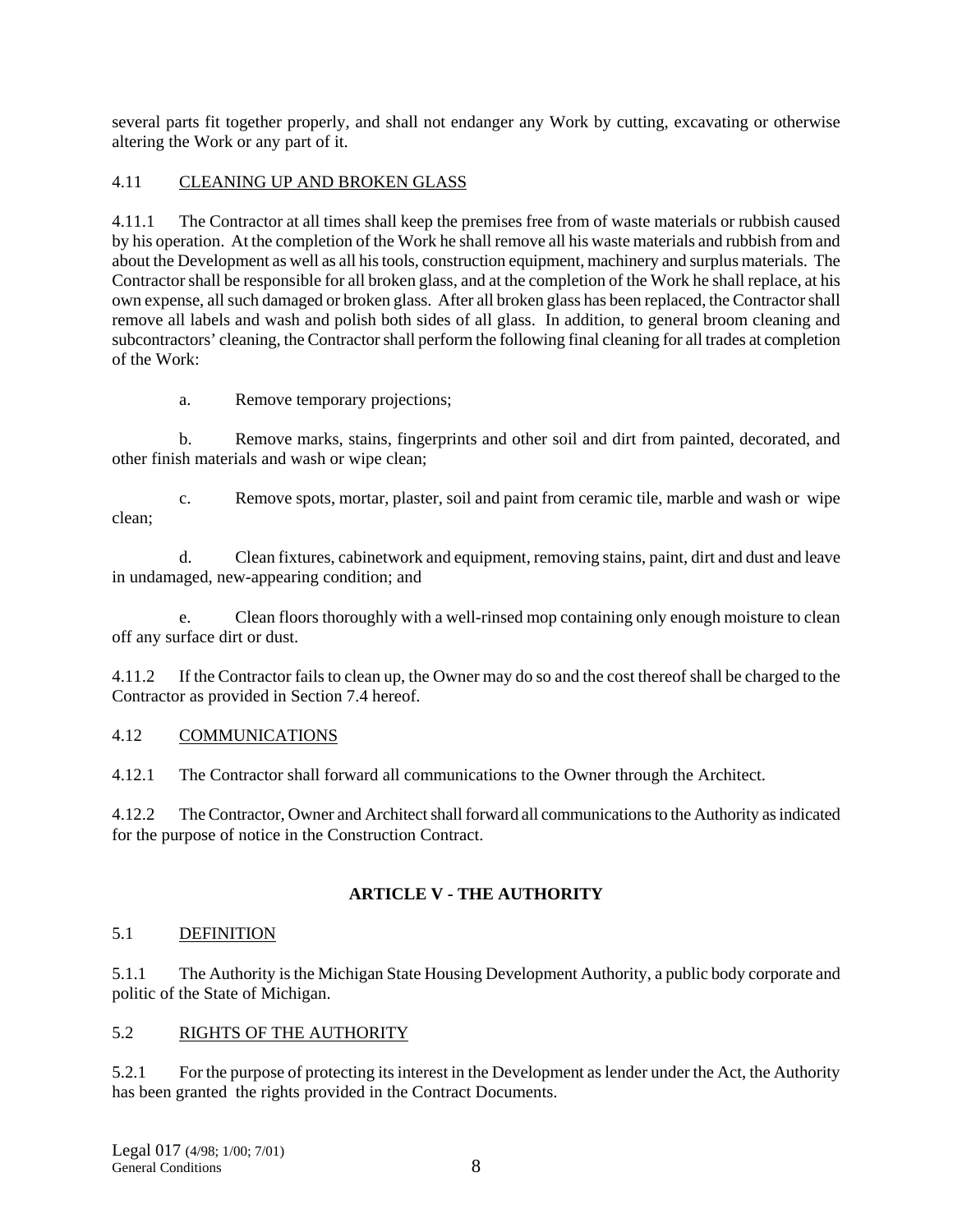several parts fit together properly, and shall not endanger any Work by cutting, excavating or otherwise altering the Work or any part of it.

## 4.11 CLEANING UP AND BROKEN GLASS

4.11.1 The Contractor at all times shall keep the premises free from of waste materials or rubbish caused by his operation. At the completion of the Work he shall remove all his waste materials and rubbish from and about the Development as well as all his tools, construction equipment, machinery and surplus materials. The Contractor shall be responsible for all broken glass, and at the completion of the Work he shall replace, at his own expense, all such damaged or broken glass. After all broken glass has been replaced, the Contractor shall remove all labels and wash and polish both sides of all glass. In addition, to general broom cleaning and subcontractors' cleaning, the Contractor shall perform the following final cleaning for all trades at completion of the Work:

a. Remove temporary projections;

b. Remove marks, stains, fingerprints and other soil and dirt from painted, decorated, and other finish materials and wash or wipe clean;

c. Remove spots, mortar, plaster, soil and paint from ceramic tile, marble and wash or wipe clean;

d. Clean fixtures, cabinetwork and equipment, removing stains, paint, dirt and dust and leave in undamaged, new-appearing condition; and

e. Clean floors thoroughly with a well-rinsed mop containing only enough moisture to clean off any surface dirt or dust.

4.11.2 If the Contractor fails to clean up, the Owner may do so and the cost thereof shall be charged to the Contractor as provided in Section 7.4 hereof.

### 4.12 COMMUNICATIONS

4.12.1 The Contractor shall forward all communications to the Owner through the Architect.

4.12.2 The Contractor, Owner and Architect shall forward all communications to the Authority as indicated for the purpose of notice in the Construction Contract.

### **ARTICLE V - THE AUTHORITY**

### 5.1 DEFINITION

5.1.1 The Authority is the Michigan State Housing Development Authority, a public body corporate and politic of the State of Michigan.

#### 5.2 RIGHTS OF THE AUTHORITY

5.2.1 For the purpose of protecting its interest in the Development as lender under the Act, the Authority has been granted the rights provided in the Contract Documents.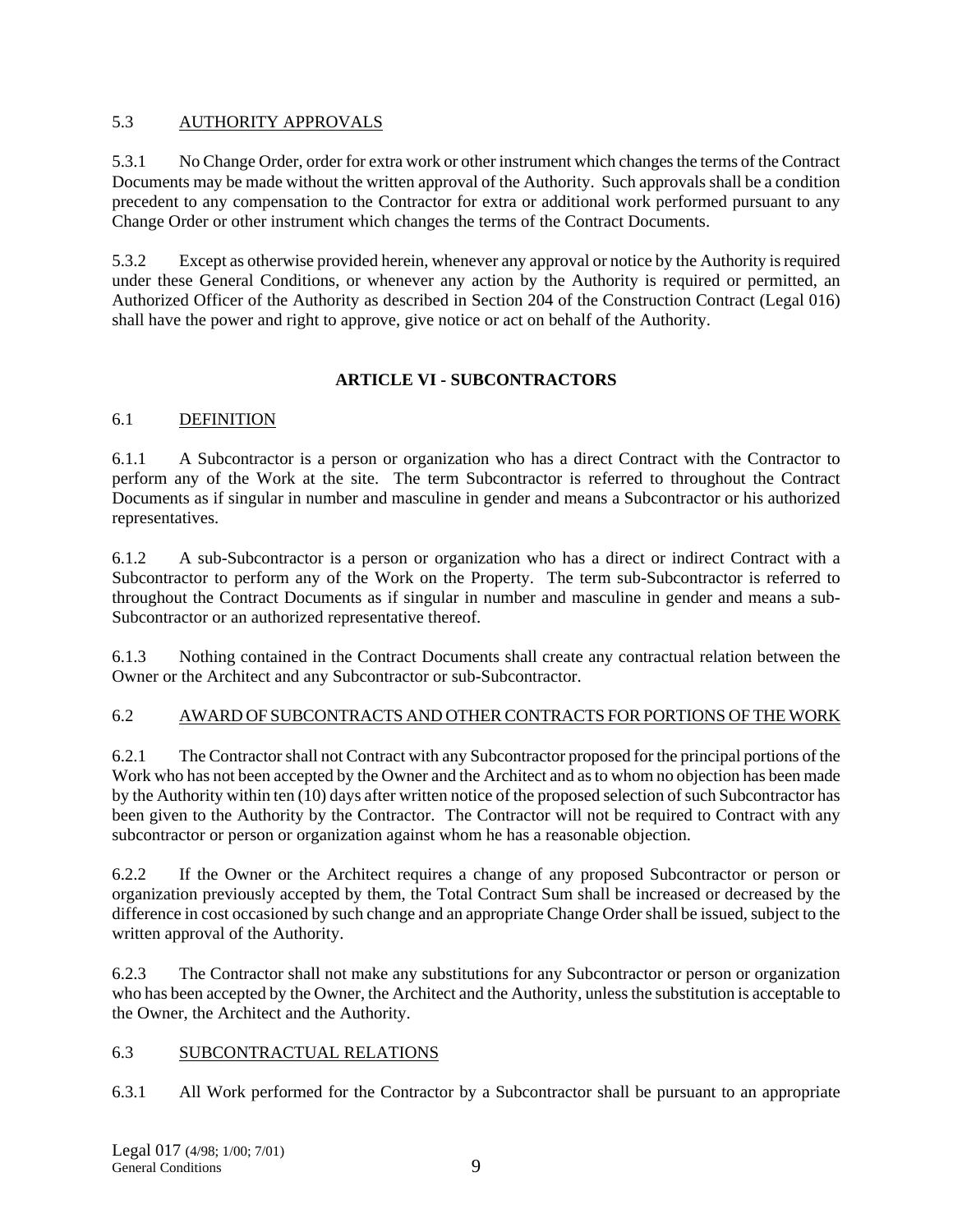### 5.3 AUTHORITY APPROVALS

5.3.1 No Change Order, order for extra work or other instrument which changes the terms of the Contract Documents may be made without the written approval of the Authority. Such approvals shall be a condition precedent to any compensation to the Contractor for extra or additional work performed pursuant to any Change Order or other instrument which changes the terms of the Contract Documents.

5.3.2 Except as otherwise provided herein, whenever any approval or notice by the Authority is required under these General Conditions, or whenever any action by the Authority is required or permitted, an Authorized Officer of the Authority as described in Section 204 of the Construction Contract (Legal 016) shall have the power and right to approve, give notice or act on behalf of the Authority.

## **ARTICLE VI - SUBCONTRACTORS**

## 6.1 DEFINITION

6.1.1 A Subcontractor is a person or organization who has a direct Contract with the Contractor to perform any of the Work at the site. The term Subcontractor is referred to throughout the Contract Documents as if singular in number and masculine in gender and means a Subcontractor or his authorized representatives.

6.1.2 A sub-Subcontractor is a person or organization who has a direct or indirect Contract with a Subcontractor to perform any of the Work on the Property. The term sub-Subcontractor is referred to throughout the Contract Documents as if singular in number and masculine in gender and means a sub-Subcontractor or an authorized representative thereof.

6.1.3 Nothing contained in the Contract Documents shall create any contractual relation between the Owner or the Architect and any Subcontractor or sub-Subcontractor.

### 6.2 AWARD OF SUBCONTRACTS AND OTHER CONTRACTS FOR PORTIONS OF THE WORK

6.2.1 The Contractor shall not Contract with any Subcontractor proposed for the principal portions of the Work who has not been accepted by the Owner and the Architect and as to whom no objection has been made by the Authority within ten (10) days after written notice of the proposed selection of such Subcontractor has been given to the Authority by the Contractor. The Contractor will not be required to Contract with any subcontractor or person or organization against whom he has a reasonable objection.

6.2.2 If the Owner or the Architect requires a change of any proposed Subcontractor or person or organization previously accepted by them, the Total Contract Sum shall be increased or decreased by the difference in cost occasioned by such change and an appropriate Change Order shall be issued, subject to the written approval of the Authority.

6.2.3 The Contractor shall not make any substitutions for any Subcontractor or person or organization who has been accepted by the Owner, the Architect and the Authority, unless the substitution is acceptable to the Owner, the Architect and the Authority.

### 6.3 SUBCONTRACTUAL RELATIONS

6.3.1 All Work performed for the Contractor by a Subcontractor shall be pursuant to an appropriate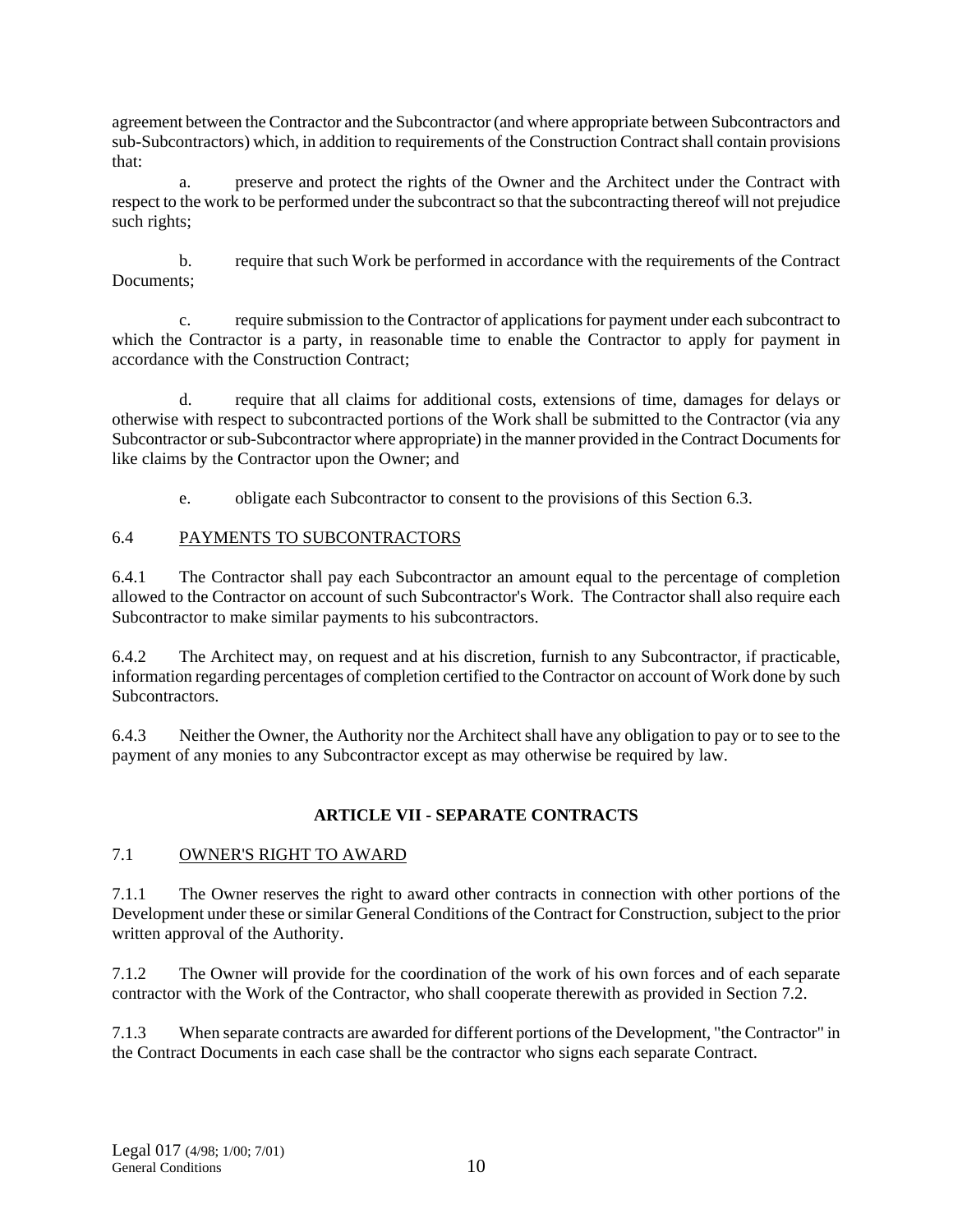agreement between the Contractor and the Subcontractor (and where appropriate between Subcontractors and sub-Subcontractors) which, in addition to requirements of the Construction Contract shall contain provisions that:

a. preserve and protect the rights of the Owner and the Architect under the Contract with respect to the work to be performed under the subcontract so that the subcontracting thereof will not prejudice such rights;

b. require that such Work be performed in accordance with the requirements of the Contract Documents<sup>;</sup>

c. require submission to the Contractor of applications for payment under each subcontract to which the Contractor is a party, in reasonable time to enable the Contractor to apply for payment in accordance with the Construction Contract;

d. require that all claims for additional costs, extensions of time, damages for delays or otherwise with respect to subcontracted portions of the Work shall be submitted to the Contractor (via any Subcontractor or sub-Subcontractor where appropriate) in the manner provided in the Contract Documents for like claims by the Contractor upon the Owner; and

e. obligate each Subcontractor to consent to the provisions of this Section 6.3.

# 6.4 PAYMENTS TO SUBCONTRACTORS

6.4.1 The Contractor shall pay each Subcontractor an amount equal to the percentage of completion allowed to the Contractor on account of such Subcontractor's Work. The Contractor shall also require each Subcontractor to make similar payments to his subcontractors.

6.4.2 The Architect may, on request and at his discretion, furnish to any Subcontractor, if practicable, information regarding percentages of completion certified to the Contractor on account of Work done by such Subcontractors.

6.4.3 Neither the Owner, the Authority nor the Architect shall have any obligation to pay or to see to the payment of any monies to any Subcontractor except as may otherwise be required by law.

# **ARTICLE VII - SEPARATE CONTRACTS**

### 7.1 OWNER'S RIGHT TO AWARD

7.1.1 The Owner reserves the right to award other contracts in connection with other portions of the Development under these or similar General Conditions of the Contract for Construction, subject to the prior written approval of the Authority.

7.1.2 The Owner will provide for the coordination of the work of his own forces and of each separate contractor with the Work of the Contractor, who shall cooperate therewith as provided in Section 7.2.

7.1.3 When separate contracts are awarded for different portions of the Development, "the Contractor" in the Contract Documents in each case shall be the contractor who signs each separate Contract.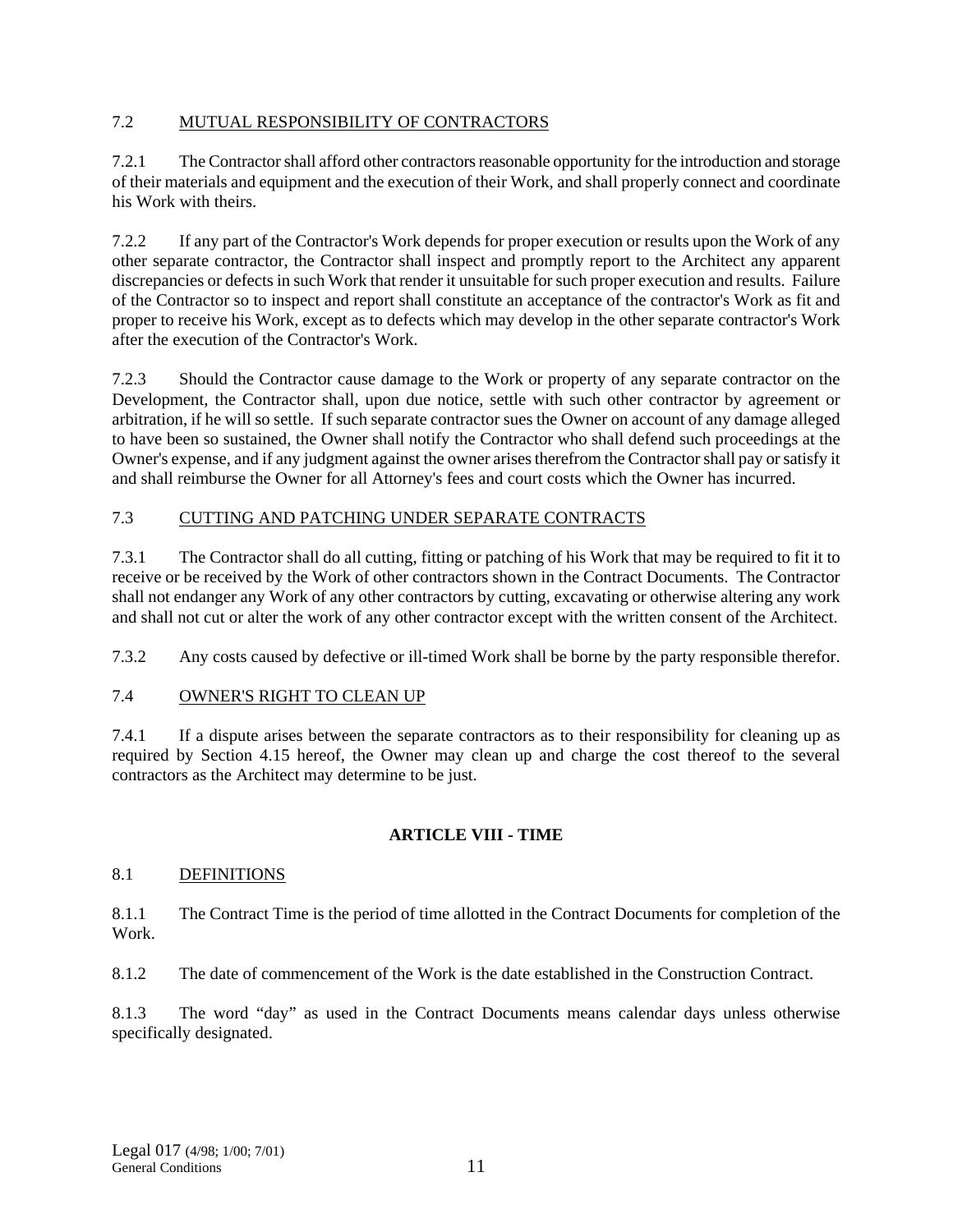#### 7.2 MUTUAL RESPONSIBILITY OF CONTRACTORS

7.2.1 The Contractor shall afford other contractors reasonable opportunity for the introduction and storage of their materials and equipment and the execution of their Work, and shall properly connect and coordinate his Work with theirs.

7.2.2 If any part of the Contractor's Work depends for proper execution or results upon the Work of any other separate contractor, the Contractor shall inspect and promptly report to the Architect any apparent discrepancies or defects in such Work that render it unsuitable for such proper execution and results. Failure of the Contractor so to inspect and report shall constitute an acceptance of the contractor's Work as fit and proper to receive his Work, except as to defects which may develop in the other separate contractor's Work after the execution of the Contractor's Work.

7.2.3 Should the Contractor cause damage to the Work or property of any separate contractor on the Development, the Contractor shall, upon due notice, settle with such other contractor by agreement or arbitration, if he will so settle. If such separate contractor sues the Owner on account of any damage alleged to have been so sustained, the Owner shall notify the Contractor who shall defend such proceedings at the Owner's expense, and if any judgment against the owner arises therefrom the Contractor shall pay or satisfy it and shall reimburse the Owner for all Attorney's fees and court costs which the Owner has incurred.

### 7.3 CUTTING AND PATCHING UNDER SEPARATE CONTRACTS

7.3.1 The Contractor shall do all cutting, fitting or patching of his Work that may be required to fit it to receive or be received by the Work of other contractors shown in the Contract Documents. The Contractor shall not endanger any Work of any other contractors by cutting, excavating or otherwise altering any work and shall not cut or alter the work of any other contractor except with the written consent of the Architect.

7.3.2 Any costs caused by defective or ill-timed Work shall be borne by the party responsible therefor.

### 7.4 OWNER'S RIGHT TO CLEAN UP

7.4.1 If a dispute arises between the separate contractors as to their responsibility for cleaning up as required by Section 4.15 hereof, the Owner may clean up and charge the cost thereof to the several contractors as the Architect may determine to be just.

### **ARTICLE VIII - TIME**

#### 8.1 DEFINITIONS

8.1.1 The Contract Time is the period of time allotted in the Contract Documents for completion of the Work.

8.1.2 The date of commencement of the Work is the date established in the Construction Contract.

8.1.3 The word "day" as used in the Contract Documents means calendar days unless otherwise specifically designated.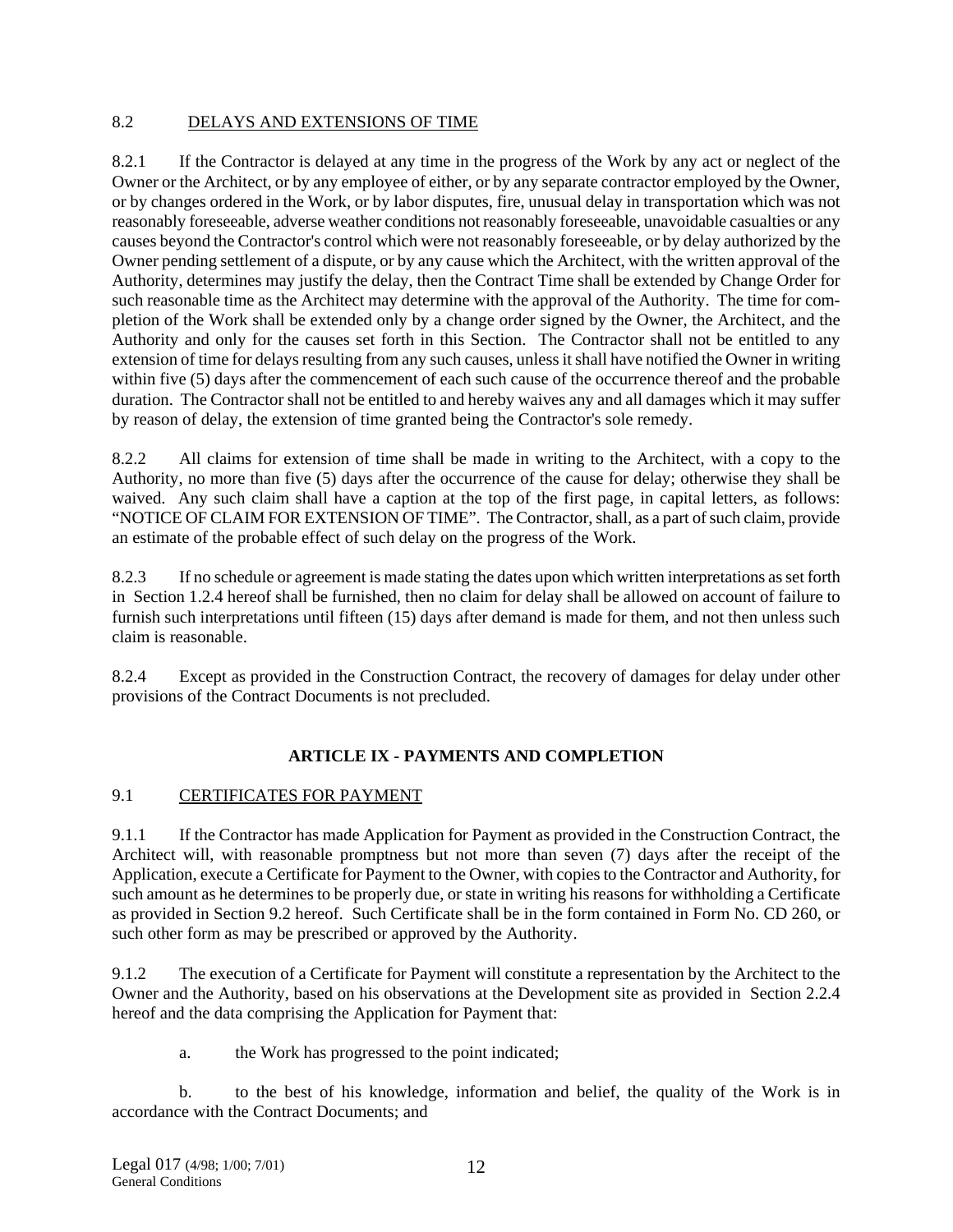### 8.2 DELAYS AND EXTENSIONS OF TIME

8.2.1 If the Contractor is delayed at any time in the progress of the Work by any act or neglect of the Owner or the Architect, or by any employee of either, or by any separate contractor employed by the Owner, or by changes ordered in the Work, or by labor disputes, fire, unusual delay in transportation which was not reasonably foreseeable, adverse weather conditions not reasonably foreseeable, unavoidable casualties or any causes beyond the Contractor's control which were not reasonably foreseeable, or by delay authorized by the Owner pending settlement of a dispute, or by any cause which the Architect, with the written approval of the Authority, determines may justify the delay, then the Contract Time shall be extended by Change Order for such reasonable time as the Architect may determine with the approval of the Authority. The time for completion of the Work shall be extended only by a change order signed by the Owner, the Architect, and the Authority and only for the causes set forth in this Section. The Contractor shall not be entitled to any extension of time for delays resulting from any such causes, unless it shall have notified the Owner in writing within five (5) days after the commencement of each such cause of the occurrence thereof and the probable duration. The Contractor shall not be entitled to and hereby waives any and all damages which it may suffer by reason of delay, the extension of time granted being the Contractor's sole remedy.

8.2.2 All claims for extension of time shall be made in writing to the Architect, with a copy to the Authority, no more than five (5) days after the occurrence of the cause for delay; otherwise they shall be waived. Any such claim shall have a caption at the top of the first page, in capital letters, as follows: "NOTICE OF CLAIM FOR EXTENSION OF TIME". The Contractor, shall, as a part of such claim, provide an estimate of the probable effect of such delay on the progress of the Work.

8.2.3 If no schedule or agreement is made stating the dates upon which written interpretations as set forth in Section 1.2.4 hereof shall be furnished, then no claim for delay shall be allowed on account of failure to furnish such interpretations until fifteen (15) days after demand is made for them, and not then unless such claim is reasonable.

8.2.4 Except as provided in the Construction Contract, the recovery of damages for delay under other provisions of the Contract Documents is not precluded.

# **ARTICLE IX - PAYMENTS AND COMPLETION**

# 9.1 CERTIFICATES FOR PAYMENT

9.1.1 If the Contractor has made Application for Payment as provided in the Construction Contract, the Architect will, with reasonable promptness but not more than seven (7) days after the receipt of the Application, execute a Certificate for Payment to the Owner, with copies to the Contractor and Authority, for such amount as he determines to be properly due, or state in writing his reasons for withholding a Certificate as provided in Section 9.2 hereof. Such Certificate shall be in the form contained in Form No. CD 260, or such other form as may be prescribed or approved by the Authority.

9.1.2 The execution of a Certificate for Payment will constitute a representation by the Architect to the Owner and the Authority, based on his observations at the Development site as provided in Section 2.2.4 hereof and the data comprising the Application for Payment that:

a. the Work has progressed to the point indicated;

b. to the best of his knowledge, information and belief, the quality of the Work is in accordance with the Contract Documents; and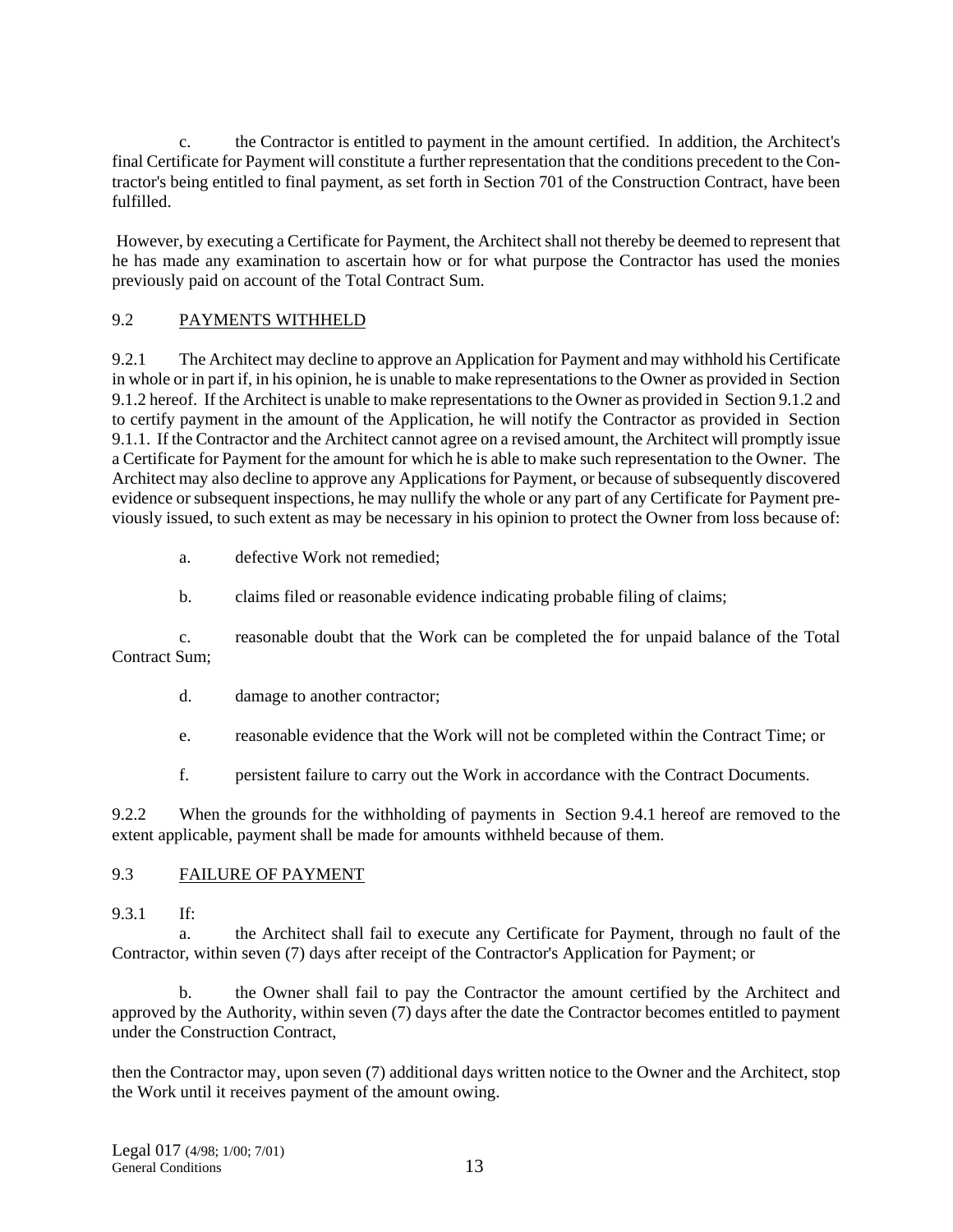c. the Contractor is entitled to payment in the amount certified. In addition, the Architect's final Certificate for Payment will constitute a further representation that the conditions precedent to the Contractor's being entitled to final payment, as set forth in Section 701 of the Construction Contract, have been fulfilled.

 However, by executing a Certificate for Payment, the Architect shall not thereby be deemed to represent that he has made any examination to ascertain how or for what purpose the Contractor has used the monies previously paid on account of the Total Contract Sum.

## 9.2 PAYMENTS WITHHELD

9.2.1 The Architect may decline to approve an Application for Payment and may withhold his Certificate in whole or in part if, in his opinion, he is unable to make representations to the Owner as provided in Section 9.1.2 hereof. If the Architect is unable to make representations to the Owner as provided in Section 9.1.2 and to certify payment in the amount of the Application, he will notify the Contractor as provided in Section 9.1.1. If the Contractor and the Architect cannot agree on a revised amount, the Architect will promptly issue a Certificate for Payment for the amount for which he is able to make such representation to the Owner. The Architect may also decline to approve any Applications for Payment, or because of subsequently discovered evidence or subsequent inspections, he may nullify the whole or any part of any Certificate for Payment previously issued, to such extent as may be necessary in his opinion to protect the Owner from loss because of:

- a. defective Work not remedied;
- b. claims filed or reasonable evidence indicating probable filing of claims;

c. reasonable doubt that the Work can be completed the for unpaid balance of the Total Contract Sum;

- d. damage to another contractor;
- e. reasonable evidence that the Work will not be completed within the Contract Time; or
- f. persistent failure to carry out the Work in accordance with the Contract Documents.

9.2.2 When the grounds for the withholding of payments in Section 9.4.1 hereof are removed to the extent applicable, payment shall be made for amounts withheld because of them.

### 9.3 FAILURE OF PAYMENT

#### 9.3.1 If:

a. the Architect shall fail to execute any Certificate for Payment, through no fault of the Contractor, within seven (7) days after receipt of the Contractor's Application for Payment; or

b. the Owner shall fail to pay the Contractor the amount certified by the Architect and approved by the Authority, within seven (7) days after the date the Contractor becomes entitled to payment under the Construction Contract,

then the Contractor may, upon seven (7) additional days written notice to the Owner and the Architect, stop the Work until it receives payment of the amount owing.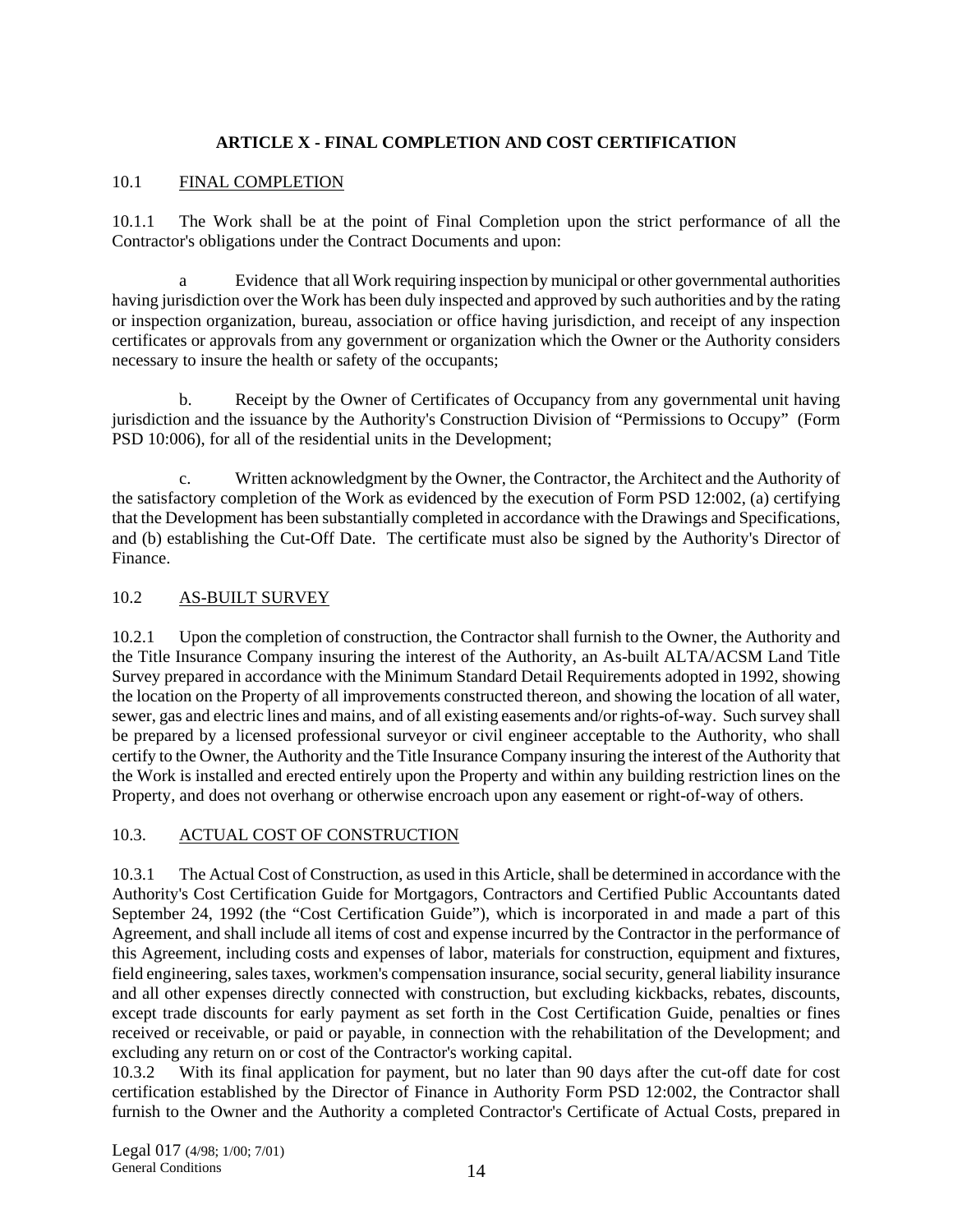## **ARTICLE X - FINAL COMPLETION AND COST CERTIFICATION**

#### 10.1 FINAL COMPLETION

10.1.1 The Work shall be at the point of Final Completion upon the strict performance of all the Contractor's obligations under the Contract Documents and upon:

a Evidence that all Work requiring inspection by municipal or other governmental authorities having jurisdiction over the Work has been duly inspected and approved by such authorities and by the rating or inspection organization, bureau, association or office having jurisdiction, and receipt of any inspection certificates or approvals from any government or organization which the Owner or the Authority considers necessary to insure the health or safety of the occupants;

b. Receipt by the Owner of Certificates of Occupancy from any governmental unit having jurisdiction and the issuance by the Authority's Construction Division of "Permissions to Occupy" (Form PSD 10:006), for all of the residential units in the Development;

c. Written acknowledgment by the Owner, the Contractor, the Architect and the Authority of the satisfactory completion of the Work as evidenced by the execution of Form PSD 12:002, (a) certifying that the Development has been substantially completed in accordance with the Drawings and Specifications, and (b) establishing the Cut-Off Date. The certificate must also be signed by the Authority's Director of Finance.

### 10.2 AS-BUILT SURVEY

10.2.1 Upon the completion of construction, the Contractor shall furnish to the Owner, the Authority and the Title Insurance Company insuring the interest of the Authority, an As-built ALTA/ACSM Land Title Survey prepared in accordance with the Minimum Standard Detail Requirements adopted in 1992, showing the location on the Property of all improvements constructed thereon, and showing the location of all water, sewer, gas and electric lines and mains, and of all existing easements and/or rights-of-way. Such survey shall be prepared by a licensed professional surveyor or civil engineer acceptable to the Authority, who shall certify to the Owner, the Authority and the Title Insurance Company insuring the interest of the Authority that the Work is installed and erected entirely upon the Property and within any building restriction lines on the Property, and does not overhang or otherwise encroach upon any easement or right-of-way of others.

# 10.3. ACTUAL COST OF CONSTRUCTION

10.3.1 The Actual Cost of Construction, as used in this Article, shall be determined in accordance with the Authority's Cost Certification Guide for Mortgagors, Contractors and Certified Public Accountants dated September 24, 1992 (the "Cost Certification Guide"), which is incorporated in and made a part of this Agreement, and shall include all items of cost and expense incurred by the Contractor in the performance of this Agreement, including costs and expenses of labor, materials for construction, equipment and fixtures, field engineering, sales taxes, workmen's compensation insurance, social security, general liability insurance and all other expenses directly connected with construction, but excluding kickbacks, rebates, discounts, except trade discounts for early payment as set forth in the Cost Certification Guide, penalties or fines received or receivable, or paid or payable, in connection with the rehabilitation of the Development; and excluding any return on or cost of the Contractor's working capital.

10.3.2 With its final application for payment, but no later than 90 days after the cut-off date for cost certification established by the Director of Finance in Authority Form PSD 12:002, the Contractor shall furnish to the Owner and the Authority a completed Contractor's Certificate of Actual Costs, prepared in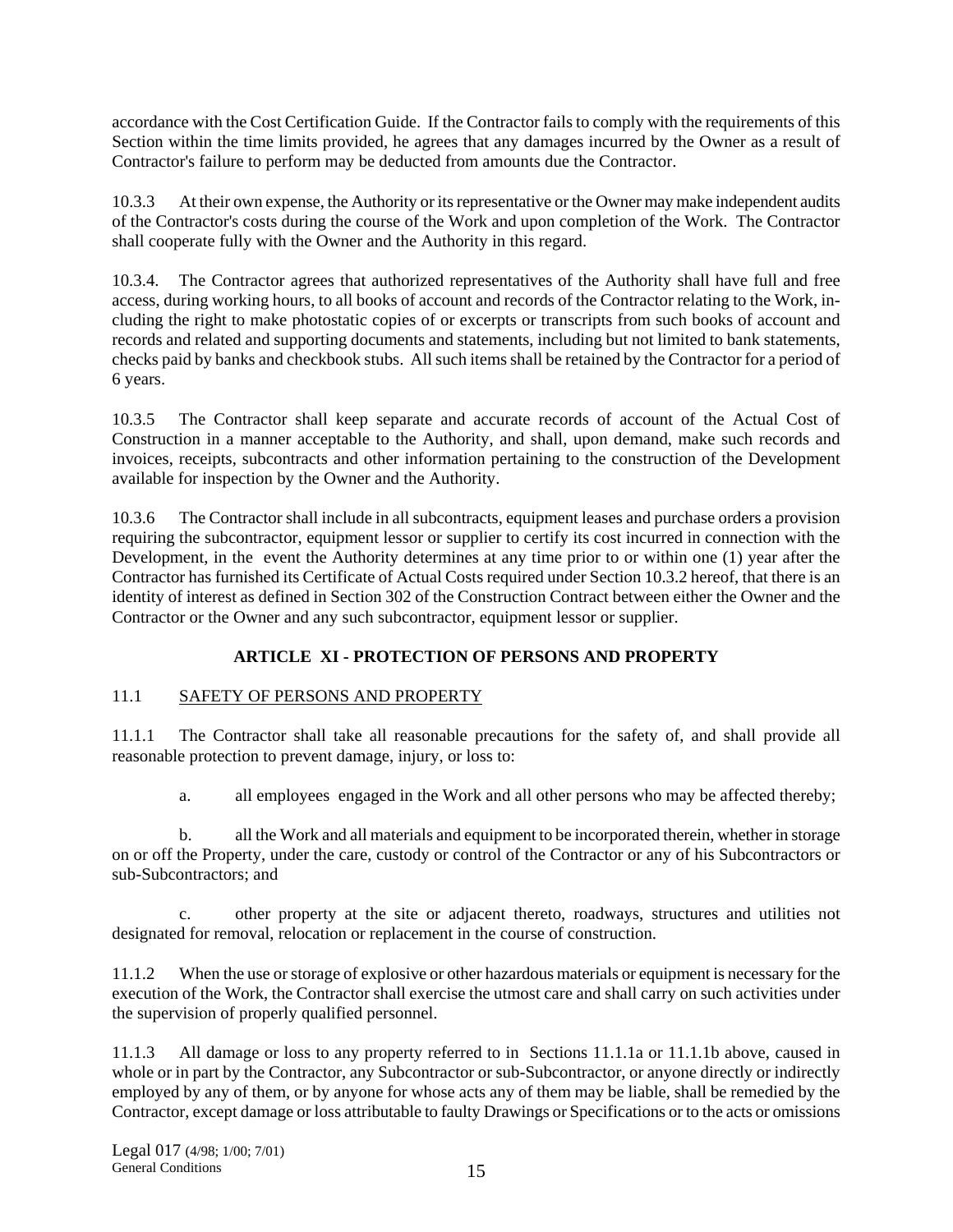accordance with the Cost Certification Guide. If the Contractor fails to comply with the requirements of this Section within the time limits provided, he agrees that any damages incurred by the Owner as a result of Contractor's failure to perform may be deducted from amounts due the Contractor.

10.3.3 At their own expense, the Authority or its representative or the Owner may make independent audits of the Contractor's costs during the course of the Work and upon completion of the Work. The Contractor shall cooperate fully with the Owner and the Authority in this regard.

10.3.4. The Contractor agrees that authorized representatives of the Authority shall have full and free access, during working hours, to all books of account and records of the Contractor relating to the Work, including the right to make photostatic copies of or excerpts or transcripts from such books of account and records and related and supporting documents and statements, including but not limited to bank statements, checks paid by banks and checkbook stubs. All such items shall be retained by the Contractor for a period of 6 years.

10.3.5 The Contractor shall keep separate and accurate records of account of the Actual Cost of Construction in a manner acceptable to the Authority, and shall, upon demand, make such records and invoices, receipts, subcontracts and other information pertaining to the construction of the Development available for inspection by the Owner and the Authority.

10.3.6 The Contractor shall include in all subcontracts, equipment leases and purchase orders a provision requiring the subcontractor, equipment lessor or supplier to certify its cost incurred in connection with the Development, in the event the Authority determines at any time prior to or within one (1) year after the Contractor has furnished its Certificate of Actual Costs required under Section 10.3.2 hereof, that there is an identity of interest as defined in Section 302 of the Construction Contract between either the Owner and the Contractor or the Owner and any such subcontractor, equipment lessor or supplier.

# **ARTICLE XI - PROTECTION OF PERSONS AND PROPERTY**

# 11.1 SAFETY OF PERSONS AND PROPERTY

11.1.1 The Contractor shall take all reasonable precautions for the safety of, and shall provide all reasonable protection to prevent damage, injury, or loss to:

a. all employees engaged in the Work and all other persons who may be affected thereby;

b. all the Work and all materials and equipment to be incorporated therein, whether in storage on or off the Property, under the care, custody or control of the Contractor or any of his Subcontractors or sub-Subcontractors; and

c. other property at the site or adjacent thereto, roadways, structures and utilities not designated for removal, relocation or replacement in the course of construction.

11.1.2 When the use or storage of explosive or other hazardous materials or equipment is necessary for the execution of the Work, the Contractor shall exercise the utmost care and shall carry on such activities under the supervision of properly qualified personnel.

11.1.3 All damage or loss to any property referred to in Sections 11.1.1a or 11.1.1b above, caused in whole or in part by the Contractor, any Subcontractor or sub-Subcontractor, or anyone directly or indirectly employed by any of them, or by anyone for whose acts any of them may be liable, shall be remedied by the Contractor, except damage or loss attributable to faulty Drawings or Specifications or to the acts or omissions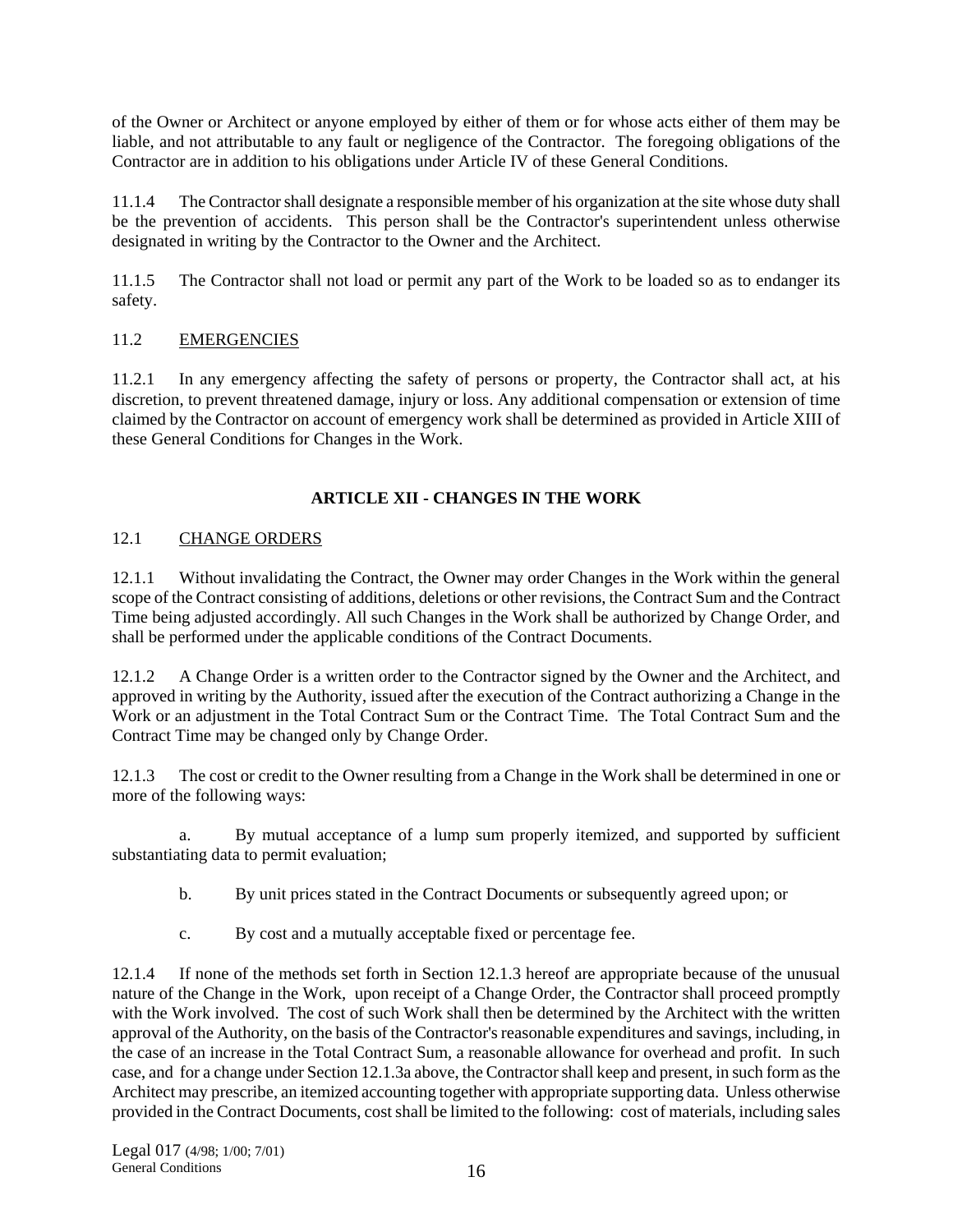of the Owner or Architect or anyone employed by either of them or for whose acts either of them may be liable, and not attributable to any fault or negligence of the Contractor. The foregoing obligations of the Contractor are in addition to his obligations under Article IV of these General Conditions.

11.1.4 The Contractor shall designate a responsible member of his organization at the site whose duty shall be the prevention of accidents. This person shall be the Contractor's superintendent unless otherwise designated in writing by the Contractor to the Owner and the Architect.

11.1.5 The Contractor shall not load or permit any part of the Work to be loaded so as to endanger its safety.

## 11.2 EMERGENCIES

11.2.1 In any emergency affecting the safety of persons or property, the Contractor shall act, at his discretion, to prevent threatened damage, injury or loss. Any additional compensation or extension of time claimed by the Contractor on account of emergency work shall be determined as provided in Article XIII of these General Conditions for Changes in the Work.

# **ARTICLE XII - CHANGES IN THE WORK**

## 12.1 CHANGE ORDERS

12.1.1 Without invalidating the Contract, the Owner may order Changes in the Work within the general scope of the Contract consisting of additions, deletions or other revisions, the Contract Sum and the Contract Time being adjusted accordingly. All such Changes in the Work shall be authorized by Change Order, and shall be performed under the applicable conditions of the Contract Documents.

12.1.2 A Change Order is a written order to the Contractor signed by the Owner and the Architect, and approved in writing by the Authority, issued after the execution of the Contract authorizing a Change in the Work or an adjustment in the Total Contract Sum or the Contract Time. The Total Contract Sum and the Contract Time may be changed only by Change Order.

12.1.3 The cost or credit to the Owner resulting from a Change in the Work shall be determined in one or more of the following ways:

a. By mutual acceptance of a lump sum properly itemized, and supported by sufficient substantiating data to permit evaluation;

- b. By unit prices stated in the Contract Documents or subsequently agreed upon; or
- c. By cost and a mutually acceptable fixed or percentage fee.

12.1.4 If none of the methods set forth in Section 12.1.3 hereof are appropriate because of the unusual nature of the Change in the Work, upon receipt of a Change Order, the Contractor shall proceed promptly with the Work involved. The cost of such Work shall then be determined by the Architect with the written approval of the Authority, on the basis of the Contractor's reasonable expenditures and savings, including, in the case of an increase in the Total Contract Sum, a reasonable allowance for overhead and profit. In such case, and for a change under Section 12.1.3a above, the Contractor shall keep and present, in such form as the Architect may prescribe, an itemized accounting together with appropriate supporting data. Unless otherwise provided in the Contract Documents, cost shall be limited to the following: cost of materials, including sales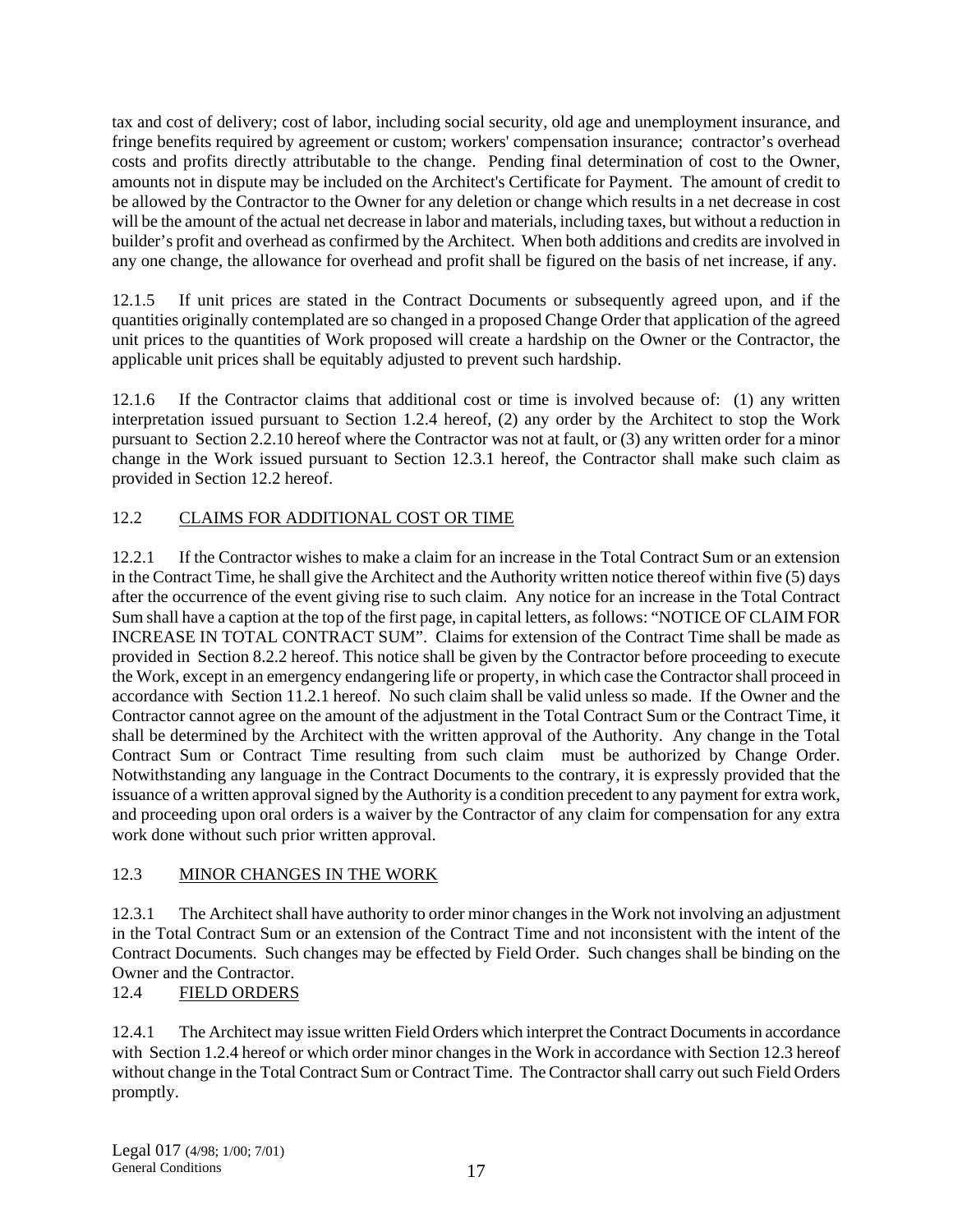tax and cost of delivery; cost of labor, including social security, old age and unemployment insurance, and fringe benefits required by agreement or custom; workers' compensation insurance; contractor's overhead costs and profits directly attributable to the change. Pending final determination of cost to the Owner, amounts not in dispute may be included on the Architect's Certificate for Payment. The amount of credit to be allowed by the Contractor to the Owner for any deletion or change which results in a net decrease in cost will be the amount of the actual net decrease in labor and materials, including taxes, but without a reduction in builder's profit and overhead as confirmed by the Architect. When both additions and credits are involved in any one change, the allowance for overhead and profit shall be figured on the basis of net increase, if any.

12.1.5 If unit prices are stated in the Contract Documents or subsequently agreed upon, and if the quantities originally contemplated are so changed in a proposed Change Order that application of the agreed unit prices to the quantities of Work proposed will create a hardship on the Owner or the Contractor, the applicable unit prices shall be equitably adjusted to prevent such hardship.

12.1.6 If the Contractor claims that additional cost or time is involved because of: (1) any written interpretation issued pursuant to Section 1.2.4 hereof, (2) any order by the Architect to stop the Work pursuant to Section 2.2.10 hereof where the Contractor was not at fault, or (3) any written order for a minor change in the Work issued pursuant to Section 12.3.1 hereof, the Contractor shall make such claim as provided in Section 12.2 hereof.

# 12.2 CLAIMS FOR ADDITIONAL COST OR TIME

12.2.1 If the Contractor wishes to make a claim for an increase in the Total Contract Sum or an extension in the Contract Time, he shall give the Architect and the Authority written notice thereof within five (5) days after the occurrence of the event giving rise to such claim. Any notice for an increase in the Total Contract Sum shall have a caption at the top of the first page, in capital letters, as follows: "NOTICE OF CLAIM FOR INCREASE IN TOTAL CONTRACT SUM". Claims for extension of the Contract Time shall be made as provided in Section 8.2.2 hereof. This notice shall be given by the Contractor before proceeding to execute the Work, except in an emergency endangering life or property, in which case the Contractor shall proceed in accordance with Section 11.2.1 hereof. No such claim shall be valid unless so made. If the Owner and the Contractor cannot agree on the amount of the adjustment in the Total Contract Sum or the Contract Time, it shall be determined by the Architect with the written approval of the Authority. Any change in the Total Contract Sum or Contract Time resulting from such claim must be authorized by Change Order. Notwithstanding any language in the Contract Documents to the contrary, it is expressly provided that the issuance of a written approval signed by the Authority is a condition precedent to any payment for extra work, and proceeding upon oral orders is a waiver by the Contractor of any claim for compensation for any extra work done without such prior written approval.

# 12.3 MINOR CHANGES IN THE WORK

12.3.1 The Architect shall have authority to order minor changes in the Work not involving an adjustment in the Total Contract Sum or an extension of the Contract Time and not inconsistent with the intent of the Contract Documents. Such changes may be effected by Field Order. Such changes shall be binding on the Owner and the Contractor.

# 12.4 FIELD ORDERS

12.4.1 The Architect may issue written Field Orders which interpret the Contract Documents in accordance with Section 1.2.4 hereof or which order minor changes in the Work in accordance with Section 12.3 hereof without change in the Total Contract Sum or Contract Time. The Contractor shall carry out such Field Orders promptly.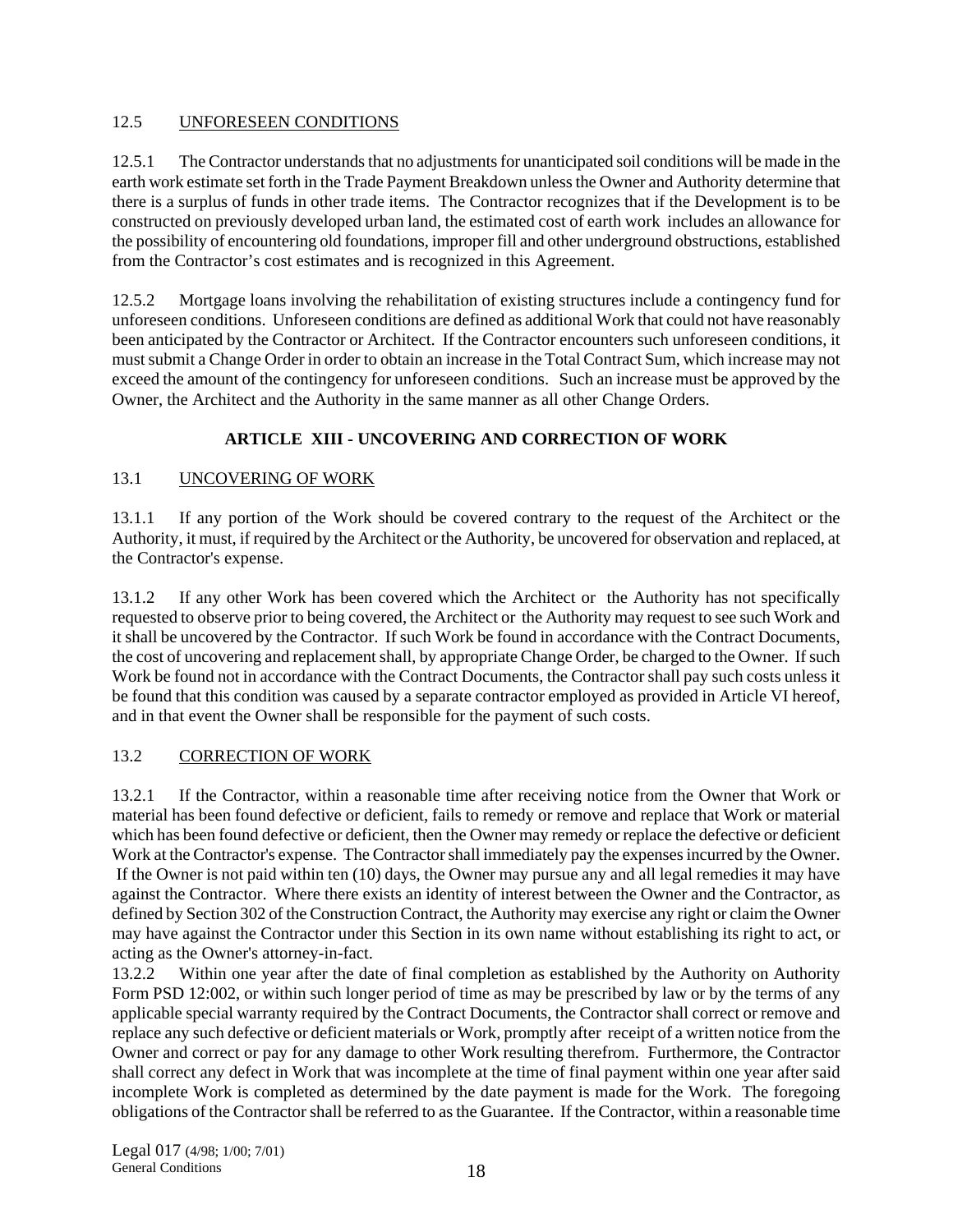## 12.5 UNFORESEEN CONDITIONS

12.5.1 The Contractor understands that no adjustments for unanticipated soil conditions will be made in the earth work estimate set forth in the Trade Payment Breakdown unless the Owner and Authority determine that there is a surplus of funds in other trade items. The Contractor recognizes that if the Development is to be constructed on previously developed urban land, the estimated cost of earth work includes an allowance for the possibility of encountering old foundations, improper fill and other underground obstructions, established from the Contractor's cost estimates and is recognized in this Agreement.

12.5.2 Mortgage loans involving the rehabilitation of existing structures include a contingency fund for unforeseen conditions. Unforeseen conditions are defined as additional Work that could not have reasonably been anticipated by the Contractor or Architect. If the Contractor encounters such unforeseen conditions, it must submit a Change Order in order to obtain an increase in the Total Contract Sum, which increase may not exceed the amount of the contingency for unforeseen conditions. Such an increase must be approved by the Owner, the Architect and the Authority in the same manner as all other Change Orders.

# **ARTICLE XIII - UNCOVERING AND CORRECTION OF WORK**

# 13.1 UNCOVERING OF WORK

13.1.1 If any portion of the Work should be covered contrary to the request of the Architect or the Authority, it must, if required by the Architect or the Authority, be uncovered for observation and replaced, at the Contractor's expense.

13.1.2 If any other Work has been covered which the Architect or the Authority has not specifically requested to observe prior to being covered, the Architect or the Authority may request to see such Work and it shall be uncovered by the Contractor. If such Work be found in accordance with the Contract Documents, the cost of uncovering and replacement shall, by appropriate Change Order, be charged to the Owner. If such Work be found not in accordance with the Contract Documents, the Contractor shall pay such costs unless it be found that this condition was caused by a separate contractor employed as provided in Article VI hereof, and in that event the Owner shall be responsible for the payment of such costs.

# 13.2 CORRECTION OF WORK

13.2.1 If the Contractor, within a reasonable time after receiving notice from the Owner that Work or material has been found defective or deficient, fails to remedy or remove and replace that Work or material which has been found defective or deficient, then the Owner may remedy or replace the defective or deficient Work at the Contractor's expense. The Contractor shall immediately pay the expenses incurred by the Owner. If the Owner is not paid within ten (10) days, the Owner may pursue any and all legal remedies it may have against the Contractor. Where there exists an identity of interest between the Owner and the Contractor, as defined by Section 302 of the Construction Contract, the Authority may exercise any right or claim the Owner may have against the Contractor under this Section in its own name without establishing its right to act, or acting as the Owner's attorney-in-fact.

13.2.2 Within one year after the date of final completion as established by the Authority on Authority Form PSD 12:002, or within such longer period of time as may be prescribed by law or by the terms of any applicable special warranty required by the Contract Documents, the Contractor shall correct or remove and replace any such defective or deficient materials or Work, promptly after receipt of a written notice from the Owner and correct or pay for any damage to other Work resulting therefrom. Furthermore, the Contractor shall correct any defect in Work that was incomplete at the time of final payment within one year after said incomplete Work is completed as determined by the date payment is made for the Work. The foregoing obligations of the Contractor shall be referred to as the Guarantee. If the Contractor, within a reasonable time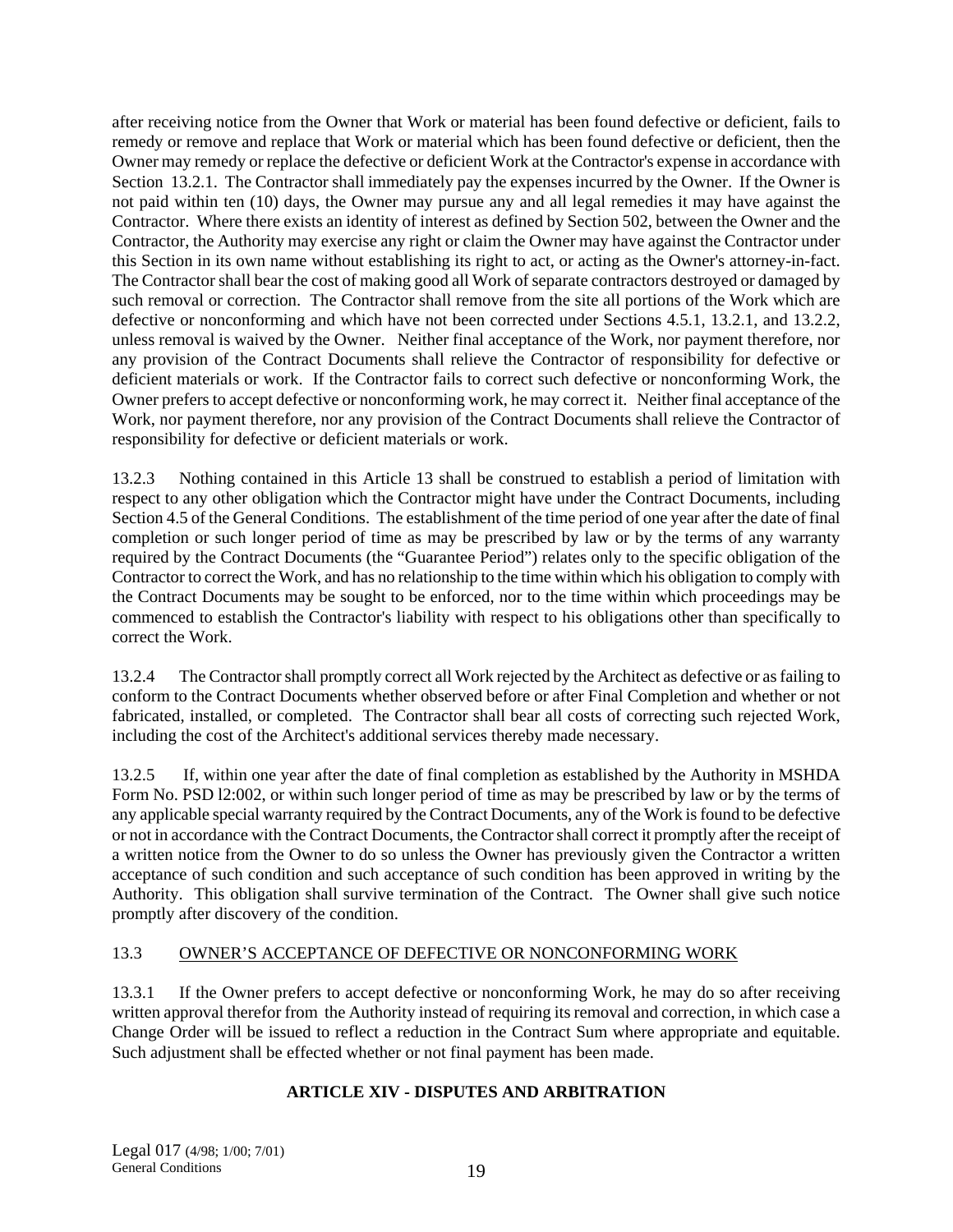after receiving notice from the Owner that Work or material has been found defective or deficient, fails to remedy or remove and replace that Work or material which has been found defective or deficient, then the Owner may remedy or replace the defective or deficient Work at the Contractor's expense in accordance with Section 13.2.1. The Contractor shall immediately pay the expenses incurred by the Owner. If the Owner is not paid within ten (10) days, the Owner may pursue any and all legal remedies it may have against the Contractor. Where there exists an identity of interest as defined by Section 502, between the Owner and the Contractor, the Authority may exercise any right or claim the Owner may have against the Contractor under this Section in its own name without establishing its right to act, or acting as the Owner's attorney-in-fact. The Contractor shall bear the cost of making good all Work of separate contractors destroyed or damaged by such removal or correction. The Contractor shall remove from the site all portions of the Work which are defective or nonconforming and which have not been corrected under Sections 4.5.1, 13.2.1, and 13.2.2, unless removal is waived by the Owner. Neither final acceptance of the Work, nor payment therefore, nor any provision of the Contract Documents shall relieve the Contractor of responsibility for defective or deficient materials or work. If the Contractor fails to correct such defective or nonconforming Work, the Owner prefers to accept defective or nonconforming work, he may correct it. Neither final acceptance of the Work, nor payment therefore, nor any provision of the Contract Documents shall relieve the Contractor of responsibility for defective or deficient materials or work.

13.2.3 Nothing contained in this Article 13 shall be construed to establish a period of limitation with respect to any other obligation which the Contractor might have under the Contract Documents, including Section 4.5 of the General Conditions. The establishment of the time period of one year after the date of final completion or such longer period of time as may be prescribed by law or by the terms of any warranty required by the Contract Documents (the "Guarantee Period") relates only to the specific obligation of the Contractor to correct the Work, and has no relationship to the time within which his obligation to comply with the Contract Documents may be sought to be enforced, nor to the time within which proceedings may be commenced to establish the Contractor's liability with respect to his obligations other than specifically to correct the Work.

13.2.4 The Contractor shall promptly correct all Work rejected by the Architect as defective or as failing to conform to the Contract Documents whether observed before or after Final Completion and whether or not fabricated, installed, or completed. The Contractor shall bear all costs of correcting such rejected Work, including the cost of the Architect's additional services thereby made necessary.

13.2.5 If, within one year after the date of final completion as established by the Authority in MSHDA Form No. PSD l2:002, or within such longer period of time as may be prescribed by law or by the terms of any applicable special warranty required by the Contract Documents, any of the Work is found to be defective or not in accordance with the Contract Documents, the Contractor shall correct it promptly after the receipt of a written notice from the Owner to do so unless the Owner has previously given the Contractor a written acceptance of such condition and such acceptance of such condition has been approved in writing by the Authority. This obligation shall survive termination of the Contract. The Owner shall give such notice promptly after discovery of the condition.

# 13.3 OWNER'S ACCEPTANCE OF DEFECTIVE OR NONCONFORMING WORK

13.3.1 If the Owner prefers to accept defective or nonconforming Work, he may do so after receiving written approval therefor from the Authority instead of requiring its removal and correction, in which case a Change Order will be issued to reflect a reduction in the Contract Sum where appropriate and equitable. Such adjustment shall be effected whether or not final payment has been made.

# **ARTICLE XIV - DISPUTES AND ARBITRATION**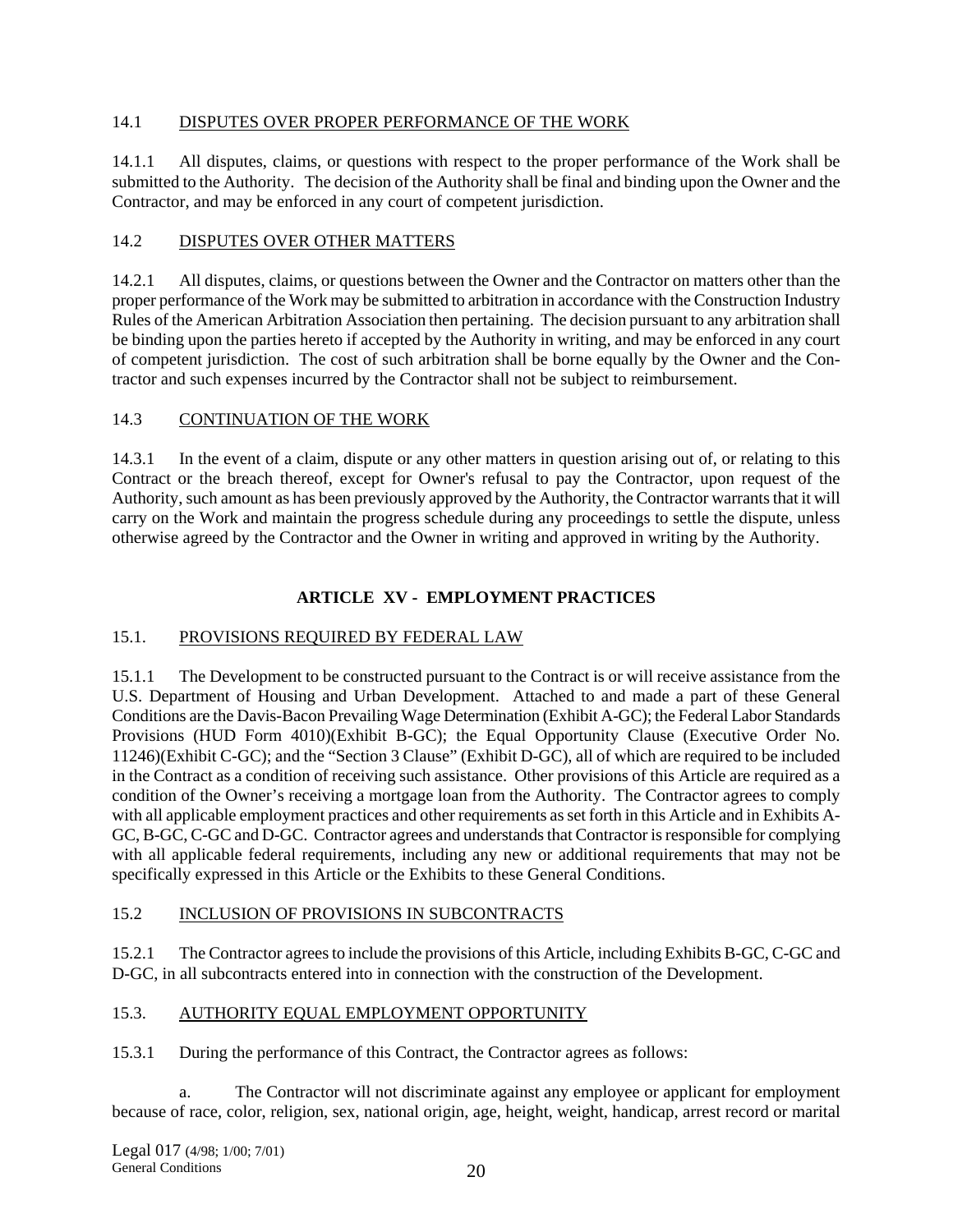### 14.1 DISPUTES OVER PROPER PERFORMANCE OF THE WORK

14.1.1 All disputes, claims, or questions with respect to the proper performance of the Work shall be submitted to the Authority. The decision of the Authority shall be final and binding upon the Owner and the Contractor, and may be enforced in any court of competent jurisdiction.

## 14.2 DISPUTES OVER OTHER MATTERS

14.2.1 All disputes, claims, or questions between the Owner and the Contractor on matters other than the proper performance of the Work may be submitted to arbitration in accordance with the Construction Industry Rules of the American Arbitration Association then pertaining. The decision pursuant to any arbitration shall be binding upon the parties hereto if accepted by the Authority in writing, and may be enforced in any court of competent jurisdiction. The cost of such arbitration shall be borne equally by the Owner and the Contractor and such expenses incurred by the Contractor shall not be subject to reimbursement.

## 14.3 CONTINUATION OF THE WORK

14.3.1 In the event of a claim, dispute or any other matters in question arising out of, or relating to this Contract or the breach thereof, except for Owner's refusal to pay the Contractor, upon request of the Authority, such amount as has been previously approved by the Authority, the Contractor warrants that it will carry on the Work and maintain the progress schedule during any proceedings to settle the dispute, unless otherwise agreed by the Contractor and the Owner in writing and approved in writing by the Authority.

## **ARTICLE XV - EMPLOYMENT PRACTICES**

### 15.1. PROVISIONS REQUIRED BY FEDERAL LAW

15.1.1 The Development to be constructed pursuant to the Contract is or will receive assistance from the U.S. Department of Housing and Urban Development. Attached to and made a part of these General Conditions are the Davis-Bacon Prevailing Wage Determination (Exhibit A-GC); the Federal Labor Standards Provisions (HUD Form 4010)(Exhibit B-GC); the Equal Opportunity Clause (Executive Order No. 11246)(Exhibit C-GC); and the "Section 3 Clause" (Exhibit D-GC), all of which are required to be included in the Contract as a condition of receiving such assistance. Other provisions of this Article are required as a condition of the Owner's receiving a mortgage loan from the Authority. The Contractor agrees to comply with all applicable employment practices and other requirements as set forth in this Article and in Exhibits A-GC, B-GC, C-GC and D-GC. Contractor agrees and understands that Contractor is responsible for complying with all applicable federal requirements, including any new or additional requirements that may not be specifically expressed in this Article or the Exhibits to these General Conditions.

### 15.2 INCLUSION OF PROVISIONS IN SUBCONTRACTS

15.2.1 The Contractor agrees to include the provisions of this Article, including Exhibits B-GC, C-GC and D-GC, in all subcontracts entered into in connection with the construction of the Development.

# 15.3. AUTHORITY EQUAL EMPLOYMENT OPPORTUNITY

15.3.1 During the performance of this Contract, the Contractor agrees as follows:

a. The Contractor will not discriminate against any employee or applicant for employment because of race, color, religion, sex, national origin, age, height, weight, handicap, arrest record or marital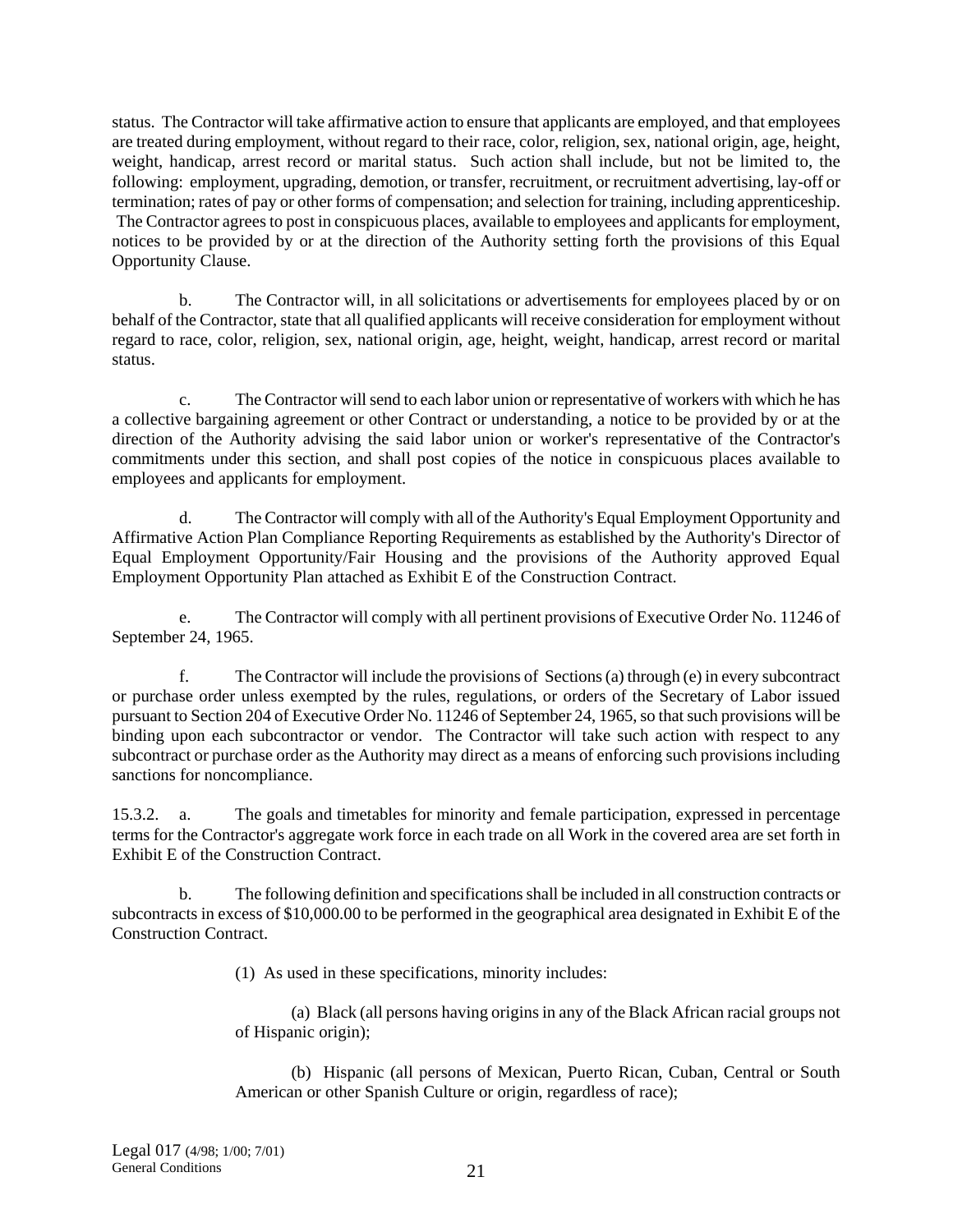status. The Contractor will take affirmative action to ensure that applicants are employed, and that employees are treated during employment, without regard to their race, color, religion, sex, national origin, age, height, weight, handicap, arrest record or marital status. Such action shall include, but not be limited to, the following: employment, upgrading, demotion, or transfer, recruitment, or recruitment advertising, lay-off or termination; rates of pay or other forms of compensation; and selection for training, including apprenticeship. The Contractor agrees to post in conspicuous places, available to employees and applicants for employment, notices to be provided by or at the direction of the Authority setting forth the provisions of this Equal Opportunity Clause.

b. The Contractor will, in all solicitations or advertisements for employees placed by or on behalf of the Contractor, state that all qualified applicants will receive consideration for employment without regard to race, color, religion, sex, national origin, age, height, weight, handicap, arrest record or marital status.

c. The Contractor will send to each labor union or representative of workers with which he has a collective bargaining agreement or other Contract or understanding, a notice to be provided by or at the direction of the Authority advising the said labor union or worker's representative of the Contractor's commitments under this section, and shall post copies of the notice in conspicuous places available to employees and applicants for employment.

d. The Contractor will comply with all of the Authority's Equal Employment Opportunity and Affirmative Action Plan Compliance Reporting Requirements as established by the Authority's Director of Equal Employment Opportunity/Fair Housing and the provisions of the Authority approved Equal Employment Opportunity Plan attached as Exhibit E of the Construction Contract.

e. The Contractor will comply with all pertinent provisions of Executive Order No. 11246 of September 24, 1965.

f. The Contractor will include the provisions of Sections (a) through (e) in every subcontract or purchase order unless exempted by the rules, regulations, or orders of the Secretary of Labor issued pursuant to Section 204 of Executive Order No. 11246 of September 24, 1965, so that such provisions will be binding upon each subcontractor or vendor. The Contractor will take such action with respect to any subcontract or purchase order as the Authority may direct as a means of enforcing such provisions including sanctions for noncompliance.

15.3.2. a. The goals and timetables for minority and female participation, expressed in percentage terms for the Contractor's aggregate work force in each trade on all Work in the covered area are set forth in Exhibit E of the Construction Contract.

b. The following definition and specifications shall be included in all construction contracts or subcontracts in excess of \$10,000.00 to be performed in the geographical area designated in Exhibit E of the Construction Contract.

(1) As used in these specifications, minority includes:

(a) Black (all persons having origins in any of the Black African racial groups not of Hispanic origin);

(b) Hispanic (all persons of Mexican, Puerto Rican, Cuban, Central or South American or other Spanish Culture or origin, regardless of race);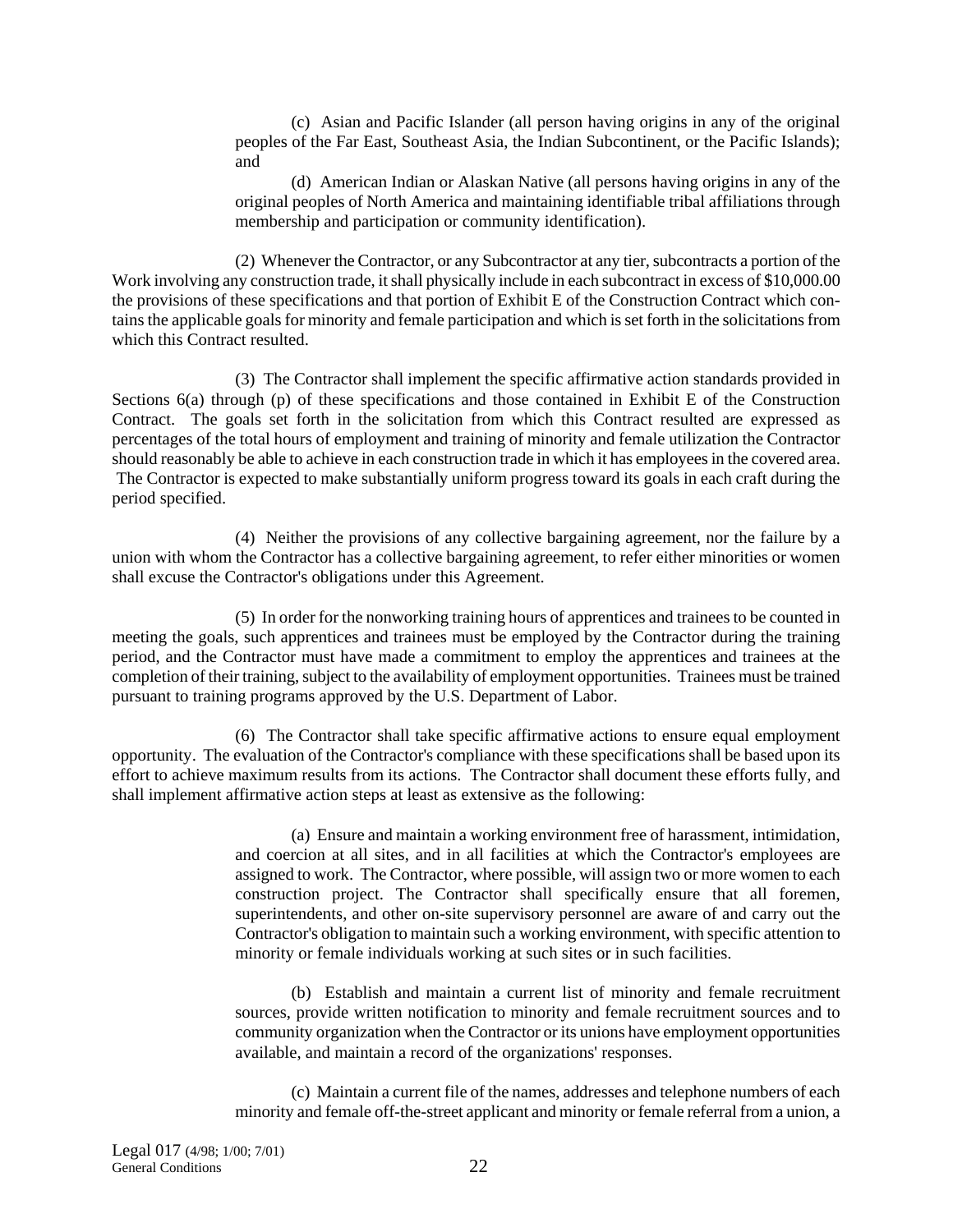(c) Asian and Pacific Islander (all person having origins in any of the original peoples of the Far East, Southeast Asia, the Indian Subcontinent, or the Pacific Islands); and

(d) American Indian or Alaskan Native (all persons having origins in any of the original peoples of North America and maintaining identifiable tribal affiliations through membership and participation or community identification).

(2) Whenever the Contractor, or any Subcontractor at any tier, subcontracts a portion of the Work involving any construction trade, it shall physically include in each subcontract in excess of \$10,000.00 the provisions of these specifications and that portion of Exhibit E of the Construction Contract which contains the applicable goals for minority and female participation and which is set forth in the solicitations from which this Contract resulted.

(3) The Contractor shall implement the specific affirmative action standards provided in Sections 6(a) through (p) of these specifications and those contained in Exhibit E of the Construction Contract. The goals set forth in the solicitation from which this Contract resulted are expressed as percentages of the total hours of employment and training of minority and female utilization the Contractor should reasonably be able to achieve in each construction trade in which it has employees in the covered area. The Contractor is expected to make substantially uniform progress toward its goals in each craft during the period specified.

(4) Neither the provisions of any collective bargaining agreement, nor the failure by a union with whom the Contractor has a collective bargaining agreement, to refer either minorities or women shall excuse the Contractor's obligations under this Agreement.

(5) In order for the nonworking training hours of apprentices and trainees to be counted in meeting the goals, such apprentices and trainees must be employed by the Contractor during the training period, and the Contractor must have made a commitment to employ the apprentices and trainees at the completion of their training, subject to the availability of employment opportunities. Trainees must be trained pursuant to training programs approved by the U.S. Department of Labor.

(6) The Contractor shall take specific affirmative actions to ensure equal employment opportunity. The evaluation of the Contractor's compliance with these specifications shall be based upon its effort to achieve maximum results from its actions. The Contractor shall document these efforts fully, and shall implement affirmative action steps at least as extensive as the following:

> (a) Ensure and maintain a working environment free of harassment, intimidation, and coercion at all sites, and in all facilities at which the Contractor's employees are assigned to work. The Contractor, where possible, will assign two or more women to each construction project. The Contractor shall specifically ensure that all foremen, superintendents, and other on-site supervisory personnel are aware of and carry out the Contractor's obligation to maintain such a working environment, with specific attention to minority or female individuals working at such sites or in such facilities.

> (b) Establish and maintain a current list of minority and female recruitment sources, provide written notification to minority and female recruitment sources and to community organization when the Contractor or its unions have employment opportunities available, and maintain a record of the organizations' responses.

> (c) Maintain a current file of the names, addresses and telephone numbers of each minority and female off-the-street applicant and minority or female referral from a union, a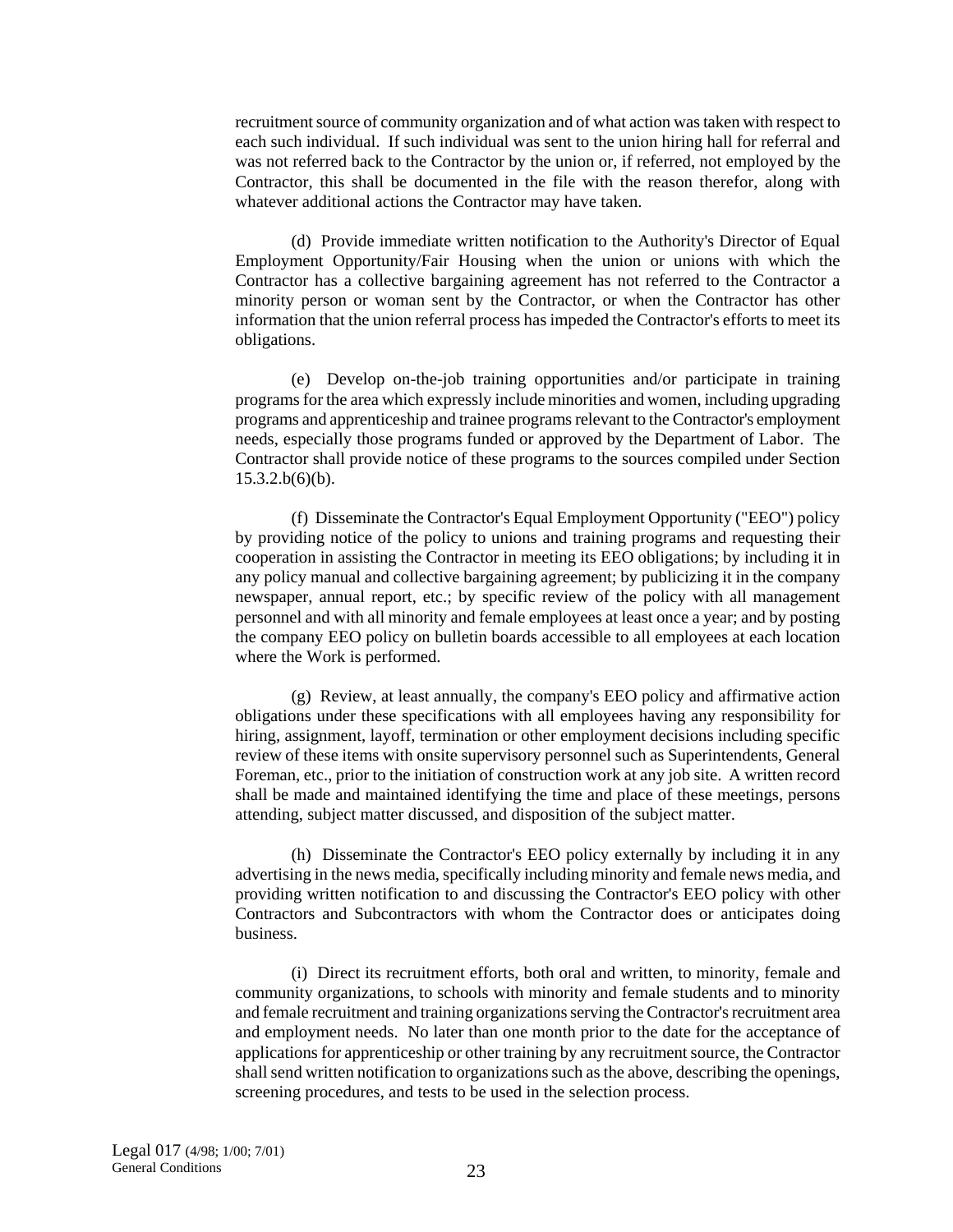recruitment source of community organization and of what action was taken with respect to each such individual. If such individual was sent to the union hiring hall for referral and was not referred back to the Contractor by the union or, if referred, not employed by the Contractor, this shall be documented in the file with the reason therefor, along with whatever additional actions the Contractor may have taken.

(d) Provide immediate written notification to the Authority's Director of Equal Employment Opportunity/Fair Housing when the union or unions with which the Contractor has a collective bargaining agreement has not referred to the Contractor a minority person or woman sent by the Contractor, or when the Contractor has other information that the union referral process has impeded the Contractor's efforts to meet its obligations.

(e) Develop on-the-job training opportunities and/or participate in training programs for the area which expressly include minorities and women, including upgrading programs and apprenticeship and trainee programs relevant to the Contractor's employment needs, especially those programs funded or approved by the Department of Labor. The Contractor shall provide notice of these programs to the sources compiled under Section  $15.3.2.b(6)(b)$ .

(f) Disseminate the Contractor's Equal Employment Opportunity ("EEO") policy by providing notice of the policy to unions and training programs and requesting their cooperation in assisting the Contractor in meeting its EEO obligations; by including it in any policy manual and collective bargaining agreement; by publicizing it in the company newspaper, annual report, etc.; by specific review of the policy with all management personnel and with all minority and female employees at least once a year; and by posting the company EEO policy on bulletin boards accessible to all employees at each location where the Work is performed.

(g) Review, at least annually, the company's EEO policy and affirmative action obligations under these specifications with all employees having any responsibility for hiring, assignment, layoff, termination or other employment decisions including specific review of these items with onsite supervisory personnel such as Superintendents, General Foreman, etc., prior to the initiation of construction work at any job site. A written record shall be made and maintained identifying the time and place of these meetings, persons attending, subject matter discussed, and disposition of the subject matter.

(h) Disseminate the Contractor's EEO policy externally by including it in any advertising in the news media, specifically including minority and female news media, and providing written notification to and discussing the Contractor's EEO policy with other Contractors and Subcontractors with whom the Contractor does or anticipates doing business.

(i) Direct its recruitment efforts, both oral and written, to minority, female and community organizations, to schools with minority and female students and to minority and female recruitment and training organizations serving the Contractor's recruitment area and employment needs. No later than one month prior to the date for the acceptance of applications for apprenticeship or other training by any recruitment source, the Contractor shall send written notification to organizations such as the above, describing the openings, screening procedures, and tests to be used in the selection process.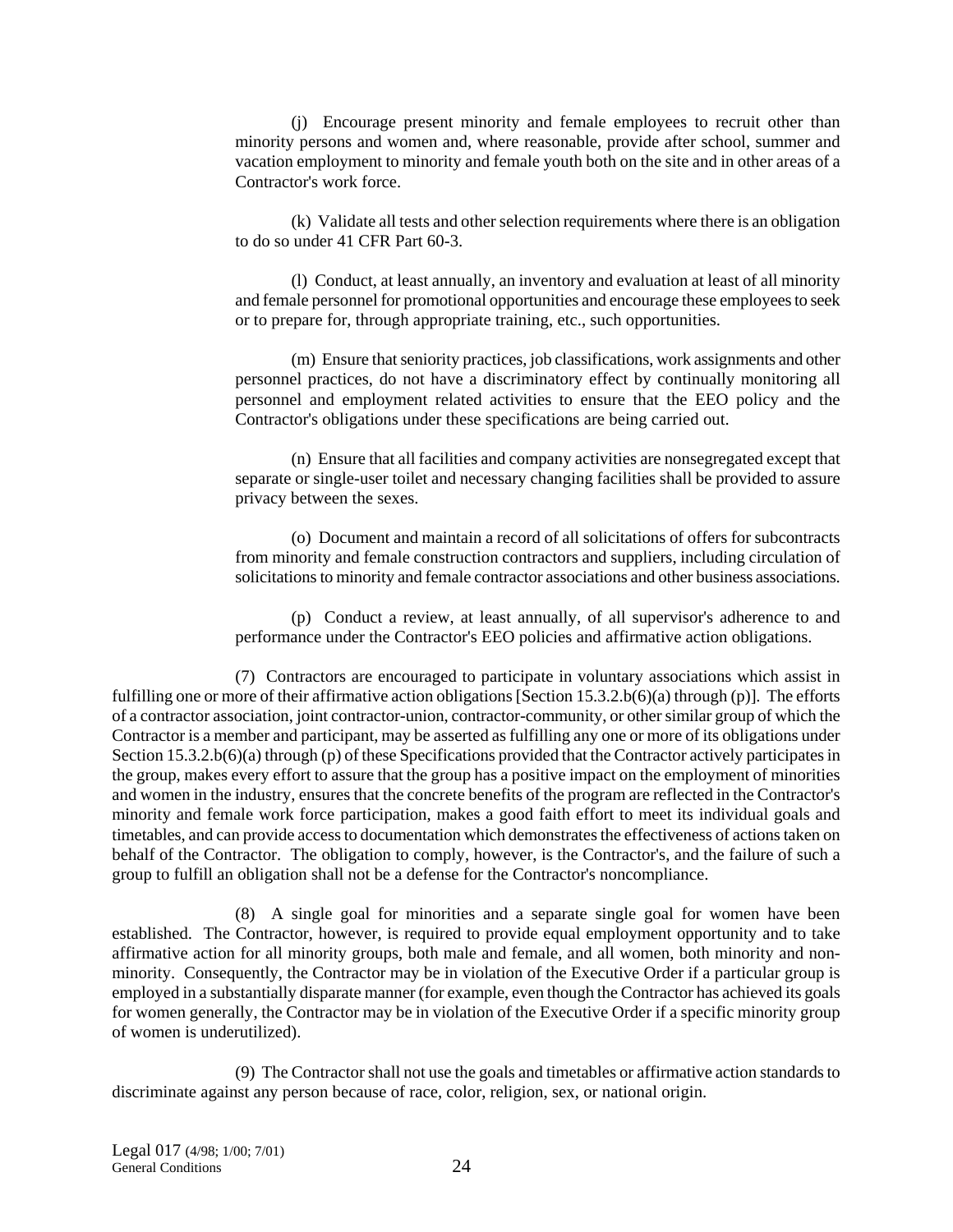(j) Encourage present minority and female employees to recruit other than minority persons and women and, where reasonable, provide after school, summer and vacation employment to minority and female youth both on the site and in other areas of a Contractor's work force.

(k) Validate all tests and other selection requirements where there is an obligation to do so under 41 CFR Part 60-3.

(l) Conduct, at least annually, an inventory and evaluation at least of all minority and female personnel for promotional opportunities and encourage these employees to seek or to prepare for, through appropriate training, etc., such opportunities.

(m) Ensure that seniority practices, job classifications, work assignments and other personnel practices, do not have a discriminatory effect by continually monitoring all personnel and employment related activities to ensure that the EEO policy and the Contractor's obligations under these specifications are being carried out.

(n) Ensure that all facilities and company activities are nonsegregated except that separate or single-user toilet and necessary changing facilities shall be provided to assure privacy between the sexes.

(o) Document and maintain a record of all solicitations of offers for subcontracts from minority and female construction contractors and suppliers, including circulation of solicitations to minority and female contractor associations and other business associations.

(p) Conduct a review, at least annually, of all supervisor's adherence to and performance under the Contractor's EEO policies and affirmative action obligations.

(7) Contractors are encouraged to participate in voluntary associations which assist in fulfilling one or more of their affirmative action obligations [Section 15.3.2.b(6)(a) through (p)]. The efforts of a contractor association, joint contractor-union, contractor-community, or other similar group of which the Contractor is a member and participant, may be asserted as fulfilling any one or more of its obligations under Section 15.3.2.b(6)(a) through (p) of these Specifications provided that the Contractor actively participates in the group, makes every effort to assure that the group has a positive impact on the employment of minorities and women in the industry, ensures that the concrete benefits of the program are reflected in the Contractor's minority and female work force participation, makes a good faith effort to meet its individual goals and timetables, and can provide access to documentation which demonstrates the effectiveness of actions taken on behalf of the Contractor. The obligation to comply, however, is the Contractor's, and the failure of such a group to fulfill an obligation shall not be a defense for the Contractor's noncompliance.

(8) A single goal for minorities and a separate single goal for women have been established. The Contractor, however, is required to provide equal employment opportunity and to take affirmative action for all minority groups, both male and female, and all women, both minority and nonminority. Consequently, the Contractor may be in violation of the Executive Order if a particular group is employed in a substantially disparate manner (for example, even though the Contractor has achieved its goals for women generally, the Contractor may be in violation of the Executive Order if a specific minority group of women is underutilized).

(9) The Contractor shall not use the goals and timetables or affirmative action standards to discriminate against any person because of race, color, religion, sex, or national origin.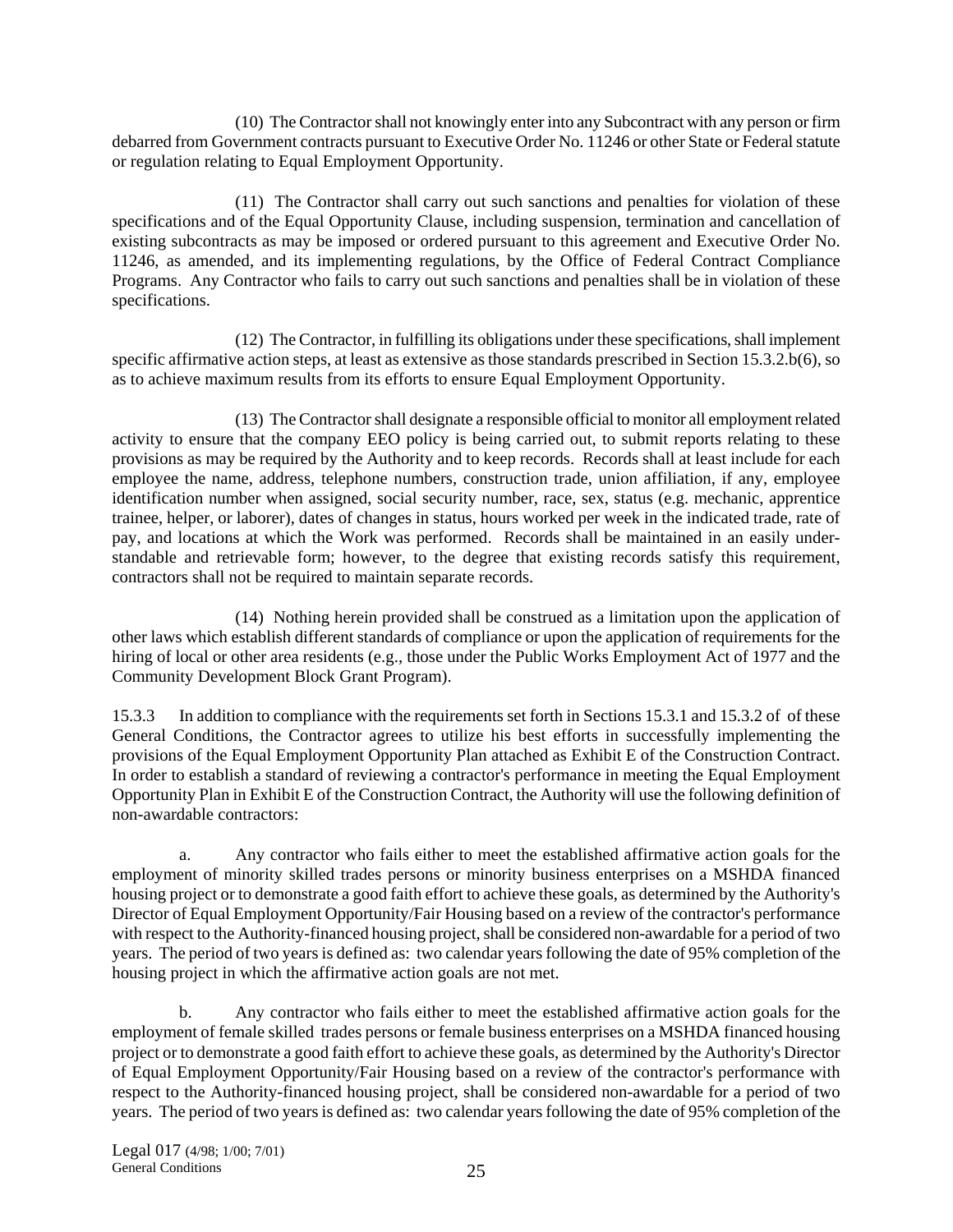(10) The Contractor shall not knowingly enter into any Subcontract with any person or firm debarred from Government contracts pursuant to Executive Order No. 11246 or other State or Federal statute or regulation relating to Equal Employment Opportunity.

(11) The Contractor shall carry out such sanctions and penalties for violation of these specifications and of the Equal Opportunity Clause, including suspension, termination and cancellation of existing subcontracts as may be imposed or ordered pursuant to this agreement and Executive Order No. 11246, as amended, and its implementing regulations, by the Office of Federal Contract Compliance Programs. Any Contractor who fails to carry out such sanctions and penalties shall be in violation of these specifications.

(12) The Contractor, in fulfilling its obligations under these specifications, shall implement specific affirmative action steps, at least as extensive as those standards prescribed in Section 15.3.2.b(6), so as to achieve maximum results from its efforts to ensure Equal Employment Opportunity.

(13) The Contractor shall designate a responsible official to monitor all employment related activity to ensure that the company EEO policy is being carried out, to submit reports relating to these provisions as may be required by the Authority and to keep records. Records shall at least include for each employee the name, address, telephone numbers, construction trade, union affiliation, if any, employee identification number when assigned, social security number, race, sex, status (e.g. mechanic, apprentice trainee, helper, or laborer), dates of changes in status, hours worked per week in the indicated trade, rate of pay, and locations at which the Work was performed. Records shall be maintained in an easily understandable and retrievable form; however, to the degree that existing records satisfy this requirement, contractors shall not be required to maintain separate records.

(14) Nothing herein provided shall be construed as a limitation upon the application of other laws which establish different standards of compliance or upon the application of requirements for the hiring of local or other area residents (e.g., those under the Public Works Employment Act of 1977 and the Community Development Block Grant Program).

15.3.3 In addition to compliance with the requirements set forth in Sections 15.3.1 and 15.3.2 of of these General Conditions, the Contractor agrees to utilize his best efforts in successfully implementing the provisions of the Equal Employment Opportunity Plan attached as Exhibit E of the Construction Contract. In order to establish a standard of reviewing a contractor's performance in meeting the Equal Employment Opportunity Plan in Exhibit E of the Construction Contract, the Authority will use the following definition of non-awardable contractors:

a. Any contractor who fails either to meet the established affirmative action goals for the employment of minority skilled trades persons or minority business enterprises on a MSHDA financed housing project or to demonstrate a good faith effort to achieve these goals, as determined by the Authority's Director of Equal Employment Opportunity/Fair Housing based on a review of the contractor's performance with respect to the Authority-financed housing project, shall be considered non-awardable for a period of two years. The period of two years is defined as: two calendar years following the date of 95% completion of the housing project in which the affirmative action goals are not met.

b. Any contractor who fails either to meet the established affirmative action goals for the employment of female skilled trades persons or female business enterprises on a MSHDA financed housing project or to demonstrate a good faith effort to achieve these goals, as determined by the Authority's Director of Equal Employment Opportunity/Fair Housing based on a review of the contractor's performance with respect to the Authority-financed housing project, shall be considered non-awardable for a period of two years. The period of two years is defined as: two calendar years following the date of 95% completion of the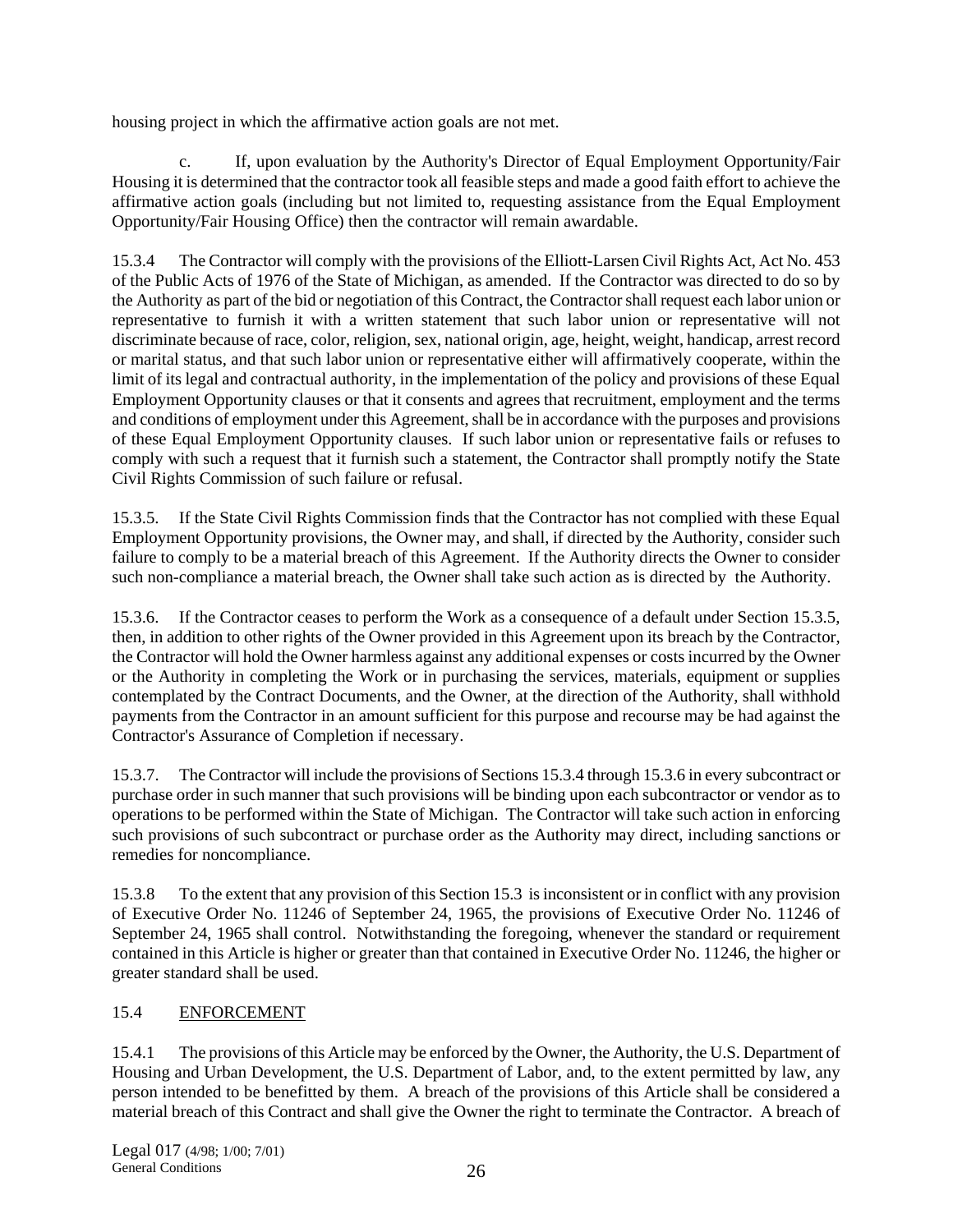housing project in which the affirmative action goals are not met.

c. If, upon evaluation by the Authority's Director of Equal Employment Opportunity/Fair Housing it is determined that the contractor took all feasible steps and made a good faith effort to achieve the affirmative action goals (including but not limited to, requesting assistance from the Equal Employment Opportunity/Fair Housing Office) then the contractor will remain awardable.

15.3.4 The Contractor will comply with the provisions of the Elliott-Larsen Civil Rights Act, Act No. 453 of the Public Acts of 1976 of the State of Michigan, as amended. If the Contractor was directed to do so by the Authority as part of the bid or negotiation of this Contract, the Contractor shall request each labor union or representative to furnish it with a written statement that such labor union or representative will not discriminate because of race, color, religion, sex, national origin, age, height, weight, handicap, arrest record or marital status, and that such labor union or representative either will affirmatively cooperate, within the limit of its legal and contractual authority, in the implementation of the policy and provisions of these Equal Employment Opportunity clauses or that it consents and agrees that recruitment, employment and the terms and conditions of employment under this Agreement, shall be in accordance with the purposes and provisions of these Equal Employment Opportunity clauses. If such labor union or representative fails or refuses to comply with such a request that it furnish such a statement, the Contractor shall promptly notify the State Civil Rights Commission of such failure or refusal.

15.3.5. If the State Civil Rights Commission finds that the Contractor has not complied with these Equal Employment Opportunity provisions, the Owner may, and shall, if directed by the Authority, consider such failure to comply to be a material breach of this Agreement. If the Authority directs the Owner to consider such non-compliance a material breach, the Owner shall take such action as is directed by the Authority.

15.3.6. If the Contractor ceases to perform the Work as a consequence of a default under Section 15.3.5, then, in addition to other rights of the Owner provided in this Agreement upon its breach by the Contractor, the Contractor will hold the Owner harmless against any additional expenses or costs incurred by the Owner or the Authority in completing the Work or in purchasing the services, materials, equipment or supplies contemplated by the Contract Documents, and the Owner, at the direction of the Authority, shall withhold payments from the Contractor in an amount sufficient for this purpose and recourse may be had against the Contractor's Assurance of Completion if necessary.

15.3.7. The Contractor will include the provisions of Sections 15.3.4 through 15.3.6 in every subcontract or purchase order in such manner that such provisions will be binding upon each subcontractor or vendor as to operations to be performed within the State of Michigan. The Contractor will take such action in enforcing such provisions of such subcontract or purchase order as the Authority may direct, including sanctions or remedies for noncompliance.

15.3.8 To the extent that any provision of this Section 15.3 is inconsistent or in conflict with any provision of Executive Order No. 11246 of September 24, 1965, the provisions of Executive Order No. 11246 of September 24, 1965 shall control. Notwithstanding the foregoing, whenever the standard or requirement contained in this Article is higher or greater than that contained in Executive Order No. 11246, the higher or greater standard shall be used.

# 15.4 ENFORCEMENT

15.4.1 The provisions of this Article may be enforced by the Owner, the Authority, the U.S. Department of Housing and Urban Development, the U.S. Department of Labor, and, to the extent permitted by law, any person intended to be benefitted by them. A breach of the provisions of this Article shall be considered a material breach of this Contract and shall give the Owner the right to terminate the Contractor. A breach of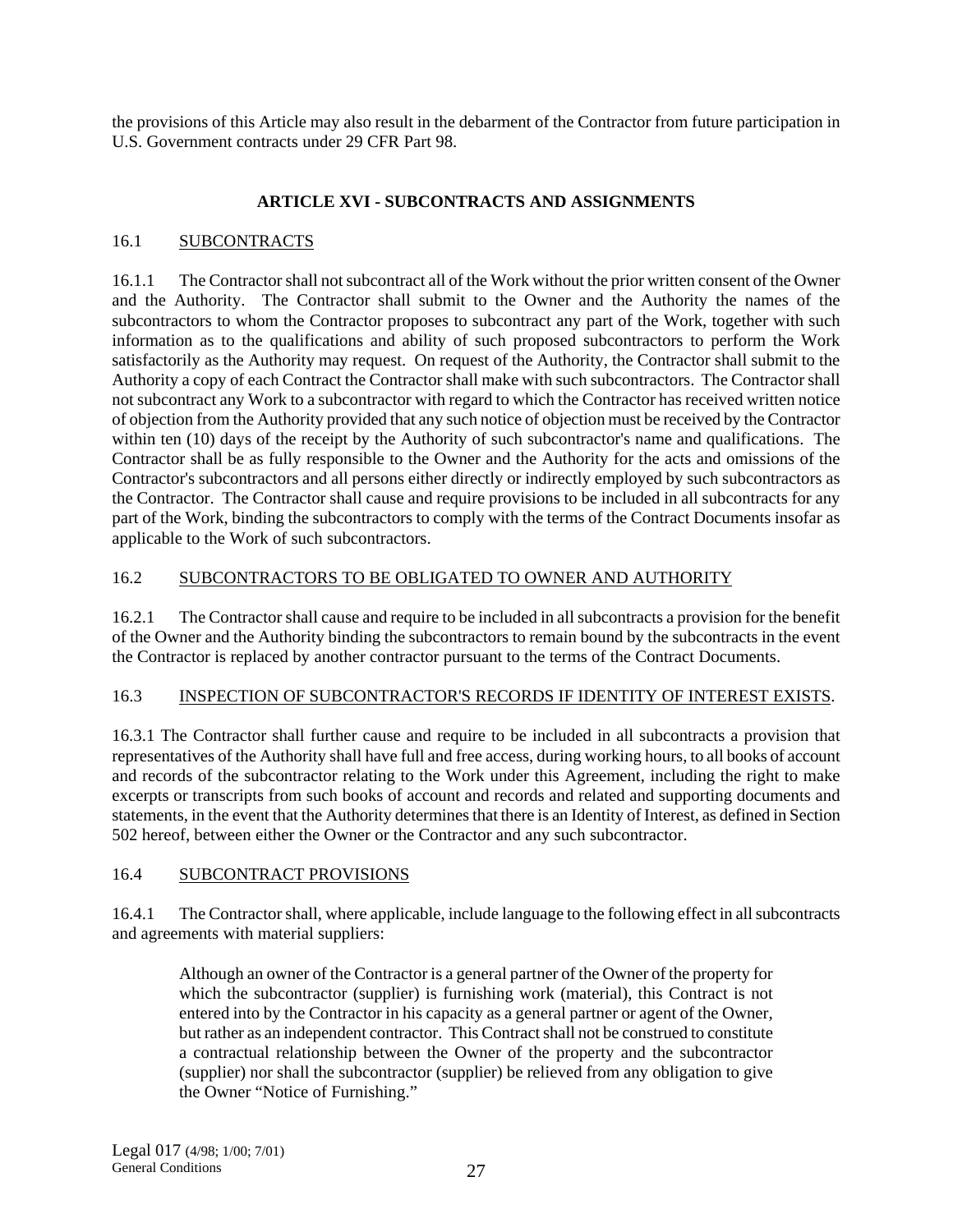the provisions of this Article may also result in the debarment of the Contractor from future participation in U.S. Government contracts under 29 CFR Part 98.

### **ARTICLE XVI - SUBCONTRACTS AND ASSIGNMENTS**

#### 16.1 SUBCONTRACTS

16.1.1 The Contractor shall not subcontract all of the Work without the prior written consent of the Owner and the Authority. The Contractor shall submit to the Owner and the Authority the names of the subcontractors to whom the Contractor proposes to subcontract any part of the Work, together with such information as to the qualifications and ability of such proposed subcontractors to perform the Work satisfactorily as the Authority may request. On request of the Authority, the Contractor shall submit to the Authority a copy of each Contract the Contractor shall make with such subcontractors. The Contractor shall not subcontract any Work to a subcontractor with regard to which the Contractor has received written notice of objection from the Authority provided that any such notice of objection must be received by the Contractor within ten (10) days of the receipt by the Authority of such subcontractor's name and qualifications. The Contractor shall be as fully responsible to the Owner and the Authority for the acts and omissions of the Contractor's subcontractors and all persons either directly or indirectly employed by such subcontractors as the Contractor. The Contractor shall cause and require provisions to be included in all subcontracts for any part of the Work, binding the subcontractors to comply with the terms of the Contract Documents insofar as applicable to the Work of such subcontractors.

## 16.2 SUBCONTRACTORS TO BE OBLIGATED TO OWNER AND AUTHORITY

16.2.1 The Contractor shall cause and require to be included in all subcontracts a provision for the benefit of the Owner and the Authority binding the subcontractors to remain bound by the subcontracts in the event the Contractor is replaced by another contractor pursuant to the terms of the Contract Documents.

### 16.3 INSPECTION OF SUBCONTRACTOR'S RECORDS IF IDENTITY OF INTEREST EXISTS.

16.3.1 The Contractor shall further cause and require to be included in all subcontracts a provision that representatives of the Authority shall have full and free access, during working hours, to all books of account and records of the subcontractor relating to the Work under this Agreement, including the right to make excerpts or transcripts from such books of account and records and related and supporting documents and statements, in the event that the Authority determines that there is an Identity of Interest, as defined in Section 502 hereof, between either the Owner or the Contractor and any such subcontractor.

### 16.4 SUBCONTRACT PROVISIONS

16.4.1 The Contractor shall, where applicable, include language to the following effect in all subcontracts and agreements with material suppliers:

Although an owner of the Contractor is a general partner of the Owner of the property for which the subcontractor (supplier) is furnishing work (material), this Contract is not entered into by the Contractor in his capacity as a general partner or agent of the Owner, but rather as an independent contractor. This Contract shall not be construed to constitute a contractual relationship between the Owner of the property and the subcontractor (supplier) nor shall the subcontractor (supplier) be relieved from any obligation to give the Owner "Notice of Furnishing."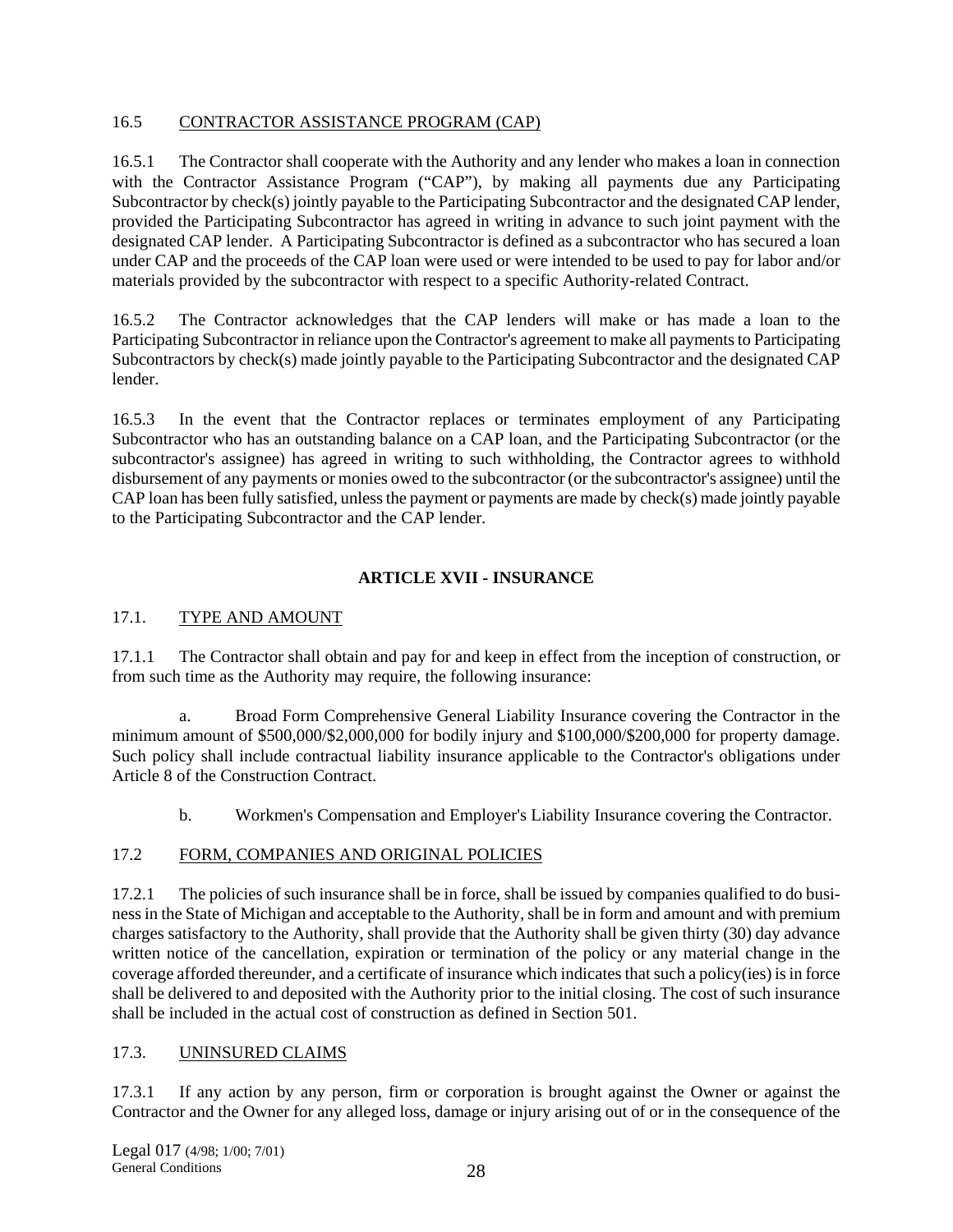#### 16.5 CONTRACTOR ASSISTANCE PROGRAM (CAP)

16.5.1 The Contractor shall cooperate with the Authority and any lender who makes a loan in connection with the Contractor Assistance Program ("CAP"), by making all payments due any Participating Subcontractor by check(s) jointly payable to the Participating Subcontractor and the designated CAP lender, provided the Participating Subcontractor has agreed in writing in advance to such joint payment with the designated CAP lender. A Participating Subcontractor is defined as a subcontractor who has secured a loan under CAP and the proceeds of the CAP loan were used or were intended to be used to pay for labor and/or materials provided by the subcontractor with respect to a specific Authority-related Contract.

16.5.2 The Contractor acknowledges that the CAP lenders will make or has made a loan to the Participating Subcontractor in reliance upon the Contractor's agreement to make all payments to Participating Subcontractors by check(s) made jointly payable to the Participating Subcontractor and the designated CAP lender.

16.5.3 In the event that the Contractor replaces or terminates employment of any Participating Subcontractor who has an outstanding balance on a CAP loan, and the Participating Subcontractor (or the subcontractor's assignee) has agreed in writing to such withholding, the Contractor agrees to withhold disbursement of any payments or monies owed to the subcontractor (or the subcontractor's assignee) until the CAP loan has been fully satisfied, unless the payment or payments are made by check(s) made jointly payable to the Participating Subcontractor and the CAP lender.

## **ARTICLE XVII - INSURANCE**

### 17.1. TYPE AND AMOUNT

17.1.1 The Contractor shall obtain and pay for and keep in effect from the inception of construction, or from such time as the Authority may require, the following insurance:

a. Broad Form Comprehensive General Liability Insurance covering the Contractor in the minimum amount of \$500,000/\$2,000,000 for bodily injury and \$100,000/\$200,000 for property damage. Such policy shall include contractual liability insurance applicable to the Contractor's obligations under Article 8 of the Construction Contract.

b. Workmen's Compensation and Employer's Liability Insurance covering the Contractor.

### 17.2 FORM, COMPANIES AND ORIGINAL POLICIES

17.2.1 The policies of such insurance shall be in force, shall be issued by companies qualified to do business in the State of Michigan and acceptable to the Authority, shall be in form and amount and with premium charges satisfactory to the Authority, shall provide that the Authority shall be given thirty (30) day advance written notice of the cancellation, expiration or termination of the policy or any material change in the coverage afforded thereunder, and a certificate of insurance which indicates that such a policy(ies) is in force shall be delivered to and deposited with the Authority prior to the initial closing. The cost of such insurance shall be included in the actual cost of construction as defined in Section 501.

### 17.3. UNINSURED CLAIMS

17.3.1 If any action by any person, firm or corporation is brought against the Owner or against the Contractor and the Owner for any alleged loss, damage or injury arising out of or in the consequence of the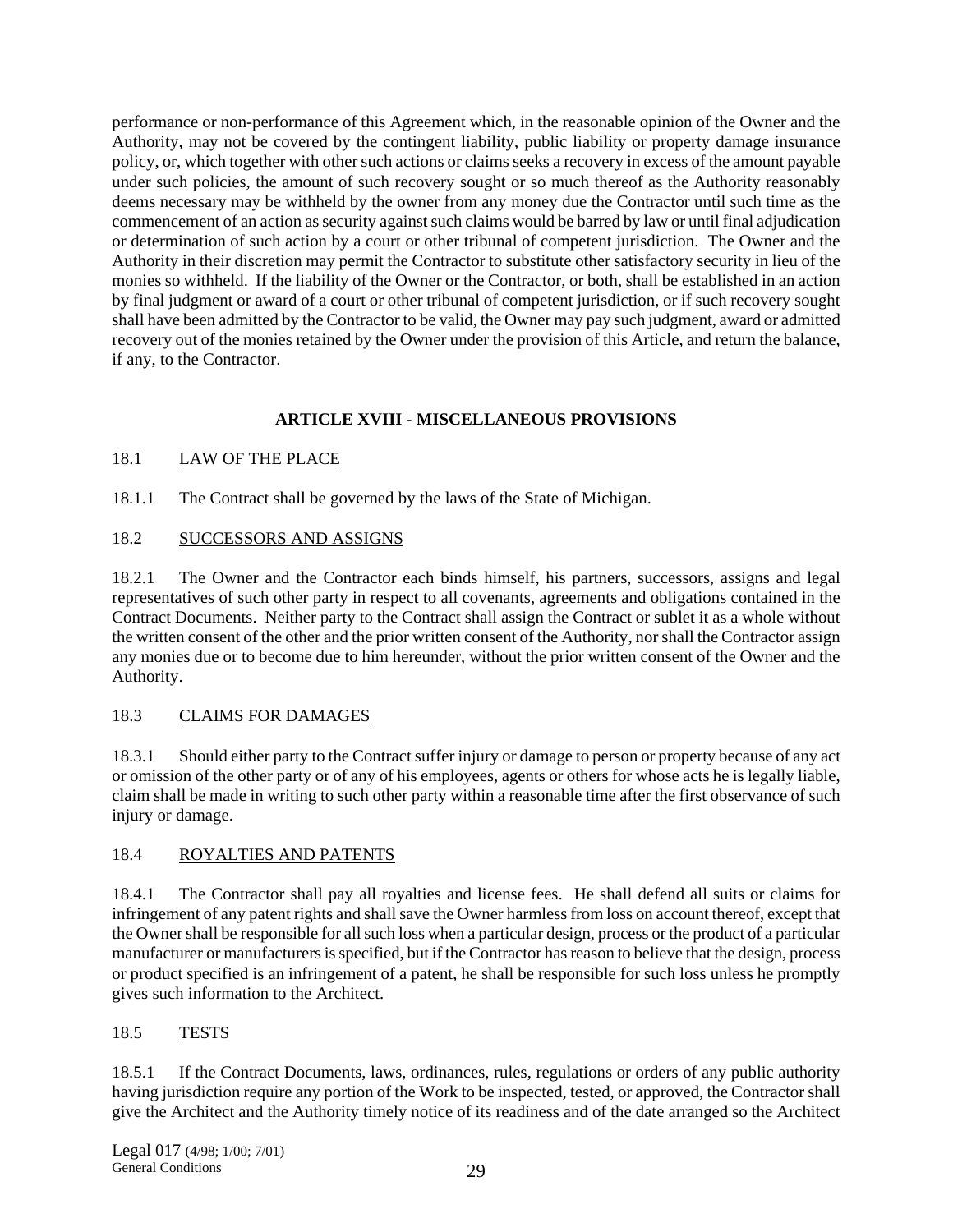performance or non-performance of this Agreement which, in the reasonable opinion of the Owner and the Authority, may not be covered by the contingent liability, public liability or property damage insurance policy, or, which together with other such actions or claims seeks a recovery in excess of the amount payable under such policies, the amount of such recovery sought or so much thereof as the Authority reasonably deems necessary may be withheld by the owner from any money due the Contractor until such time as the commencement of an action as security against such claims would be barred by law or until final adjudication or determination of such action by a court or other tribunal of competent jurisdiction. The Owner and the Authority in their discretion may permit the Contractor to substitute other satisfactory security in lieu of the monies so withheld. If the liability of the Owner or the Contractor, or both, shall be established in an action by final judgment or award of a court or other tribunal of competent jurisdiction, or if such recovery sought shall have been admitted by the Contractor to be valid, the Owner may pay such judgment, award or admitted recovery out of the monies retained by the Owner under the provision of this Article, and return the balance, if any, to the Contractor.

# **ARTICLE XVIII - MISCELLANEOUS PROVISIONS**

## 18.1 LAW OF THE PLACE

18.1.1 The Contract shall be governed by the laws of the State of Michigan.

### 18.2 SUCCESSORS AND ASSIGNS

18.2.1 The Owner and the Contractor each binds himself, his partners, successors, assigns and legal representatives of such other party in respect to all covenants, agreements and obligations contained in the Contract Documents. Neither party to the Contract shall assign the Contract or sublet it as a whole without the written consent of the other and the prior written consent of the Authority, nor shall the Contractor assign any monies due or to become due to him hereunder, without the prior written consent of the Owner and the Authority.

### 18.3 CLAIMS FOR DAMAGES

18.3.1 Should either party to the Contract suffer injury or damage to person or property because of any act or omission of the other party or of any of his employees, agents or others for whose acts he is legally liable, claim shall be made in writing to such other party within a reasonable time after the first observance of such injury or damage.

### 18.4 ROYALTIES AND PATENTS

18.4.1 The Contractor shall pay all royalties and license fees. He shall defend all suits or claims for infringement of any patent rights and shall save the Owner harmless from loss on account thereof, except that the Owner shall be responsible for all such loss when a particular design, process or the product of a particular manufacturer or manufacturers is specified, but if the Contractor has reason to believe that the design, process or product specified is an infringement of a patent, he shall be responsible for such loss unless he promptly gives such information to the Architect.

### 18.5 TESTS

18.5.1 If the Contract Documents, laws, ordinances, rules, regulations or orders of any public authority having jurisdiction require any portion of the Work to be inspected, tested, or approved, the Contractor shall give the Architect and the Authority timely notice of its readiness and of the date arranged so the Architect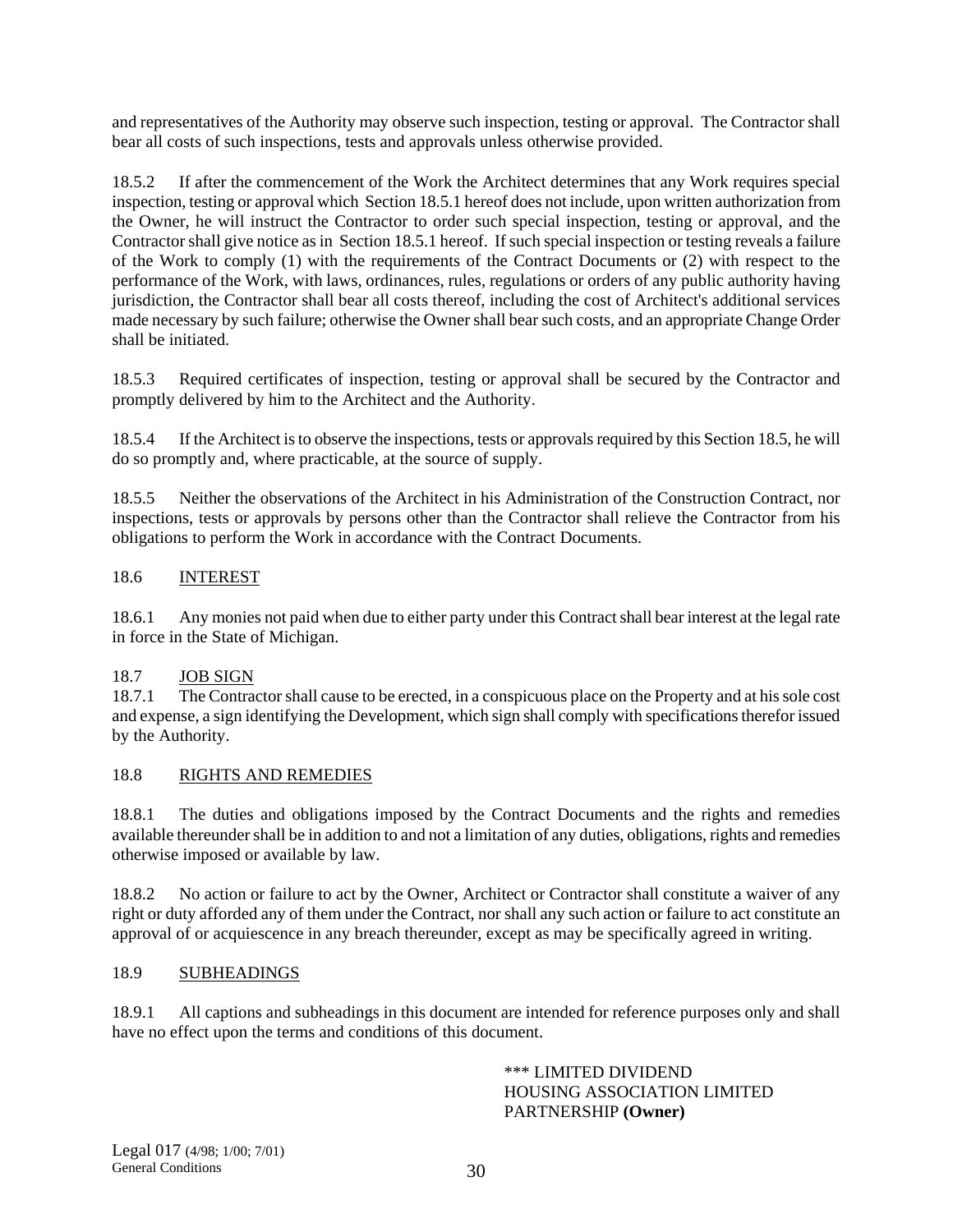and representatives of the Authority may observe such inspection, testing or approval. The Contractor shall bear all costs of such inspections, tests and approvals unless otherwise provided.

18.5.2 If after the commencement of the Work the Architect determines that any Work requires special inspection, testing or approval which Section 18.5.1 hereof does not include, upon written authorization from the Owner, he will instruct the Contractor to order such special inspection, testing or approval, and the Contractor shall give notice as in Section 18.5.1 hereof. If such special inspection or testing reveals a failure of the Work to comply (1) with the requirements of the Contract Documents or (2) with respect to the performance of the Work, with laws, ordinances, rules, regulations or orders of any public authority having jurisdiction, the Contractor shall bear all costs thereof, including the cost of Architect's additional services made necessary by such failure; otherwise the Owner shall bear such costs, and an appropriate Change Order shall be initiated.

18.5.3 Required certificates of inspection, testing or approval shall be secured by the Contractor and promptly delivered by him to the Architect and the Authority.

18.5.4 If the Architect is to observe the inspections, tests or approvals required by this Section 18.5, he will do so promptly and, where practicable, at the source of supply.

18.5.5 Neither the observations of the Architect in his Administration of the Construction Contract, nor inspections, tests or approvals by persons other than the Contractor shall relieve the Contractor from his obligations to perform the Work in accordance with the Contract Documents.

### 18.6 INTEREST

18.6.1 Any monies not paid when due to either party under this Contract shall bear interest at the legal rate in force in the State of Michigan.

### 18.7 JOB SIGN

18.7.1 The Contractor shall cause to be erected, in a conspicuous place on the Property and at his sole cost and expense, a sign identifying the Development, which sign shall comply with specifications therefor issued by the Authority.

#### 18.8 RIGHTS AND REMEDIES

18.8.1 The duties and obligations imposed by the Contract Documents and the rights and remedies available thereunder shall be in addition to and not a limitation of any duties, obligations, rights and remedies otherwise imposed or available by law.

18.8.2 No action or failure to act by the Owner, Architect or Contractor shall constitute a waiver of any right or duty afforded any of them under the Contract, nor shall any such action or failure to act constitute an approval of or acquiescence in any breach thereunder, except as may be specifically agreed in writing.

#### 18.9 SUBHEADINGS

18.9.1 All captions and subheadings in this document are intended for reference purposes only and shall have no effect upon the terms and conditions of this document.

#### \*\*\* LIMITED DIVIDEND HOUSING ASSOCIATION LIMITED PARTNERSHIP **(Owner)**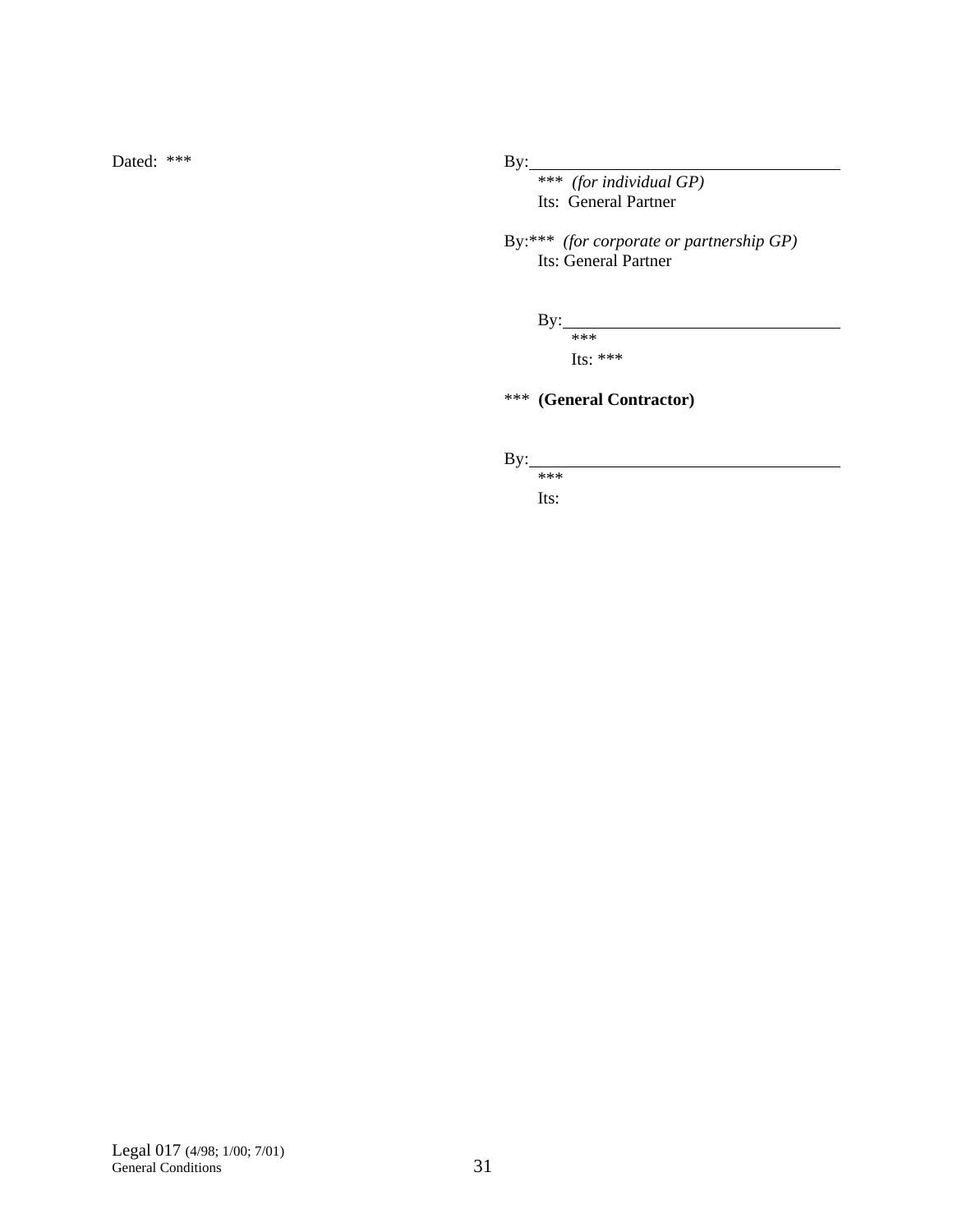Dated: \*\*\* By:

\*\*\* *(for individual GP)* Its: General Partner

By:\*\*\* *(for corporate or partnership GP)* Its: General Partner

 $By:$ 

\*\*\* Its: \*\*\*

\*\*\* **(General Contractor)**

By: \*\*\*

Its: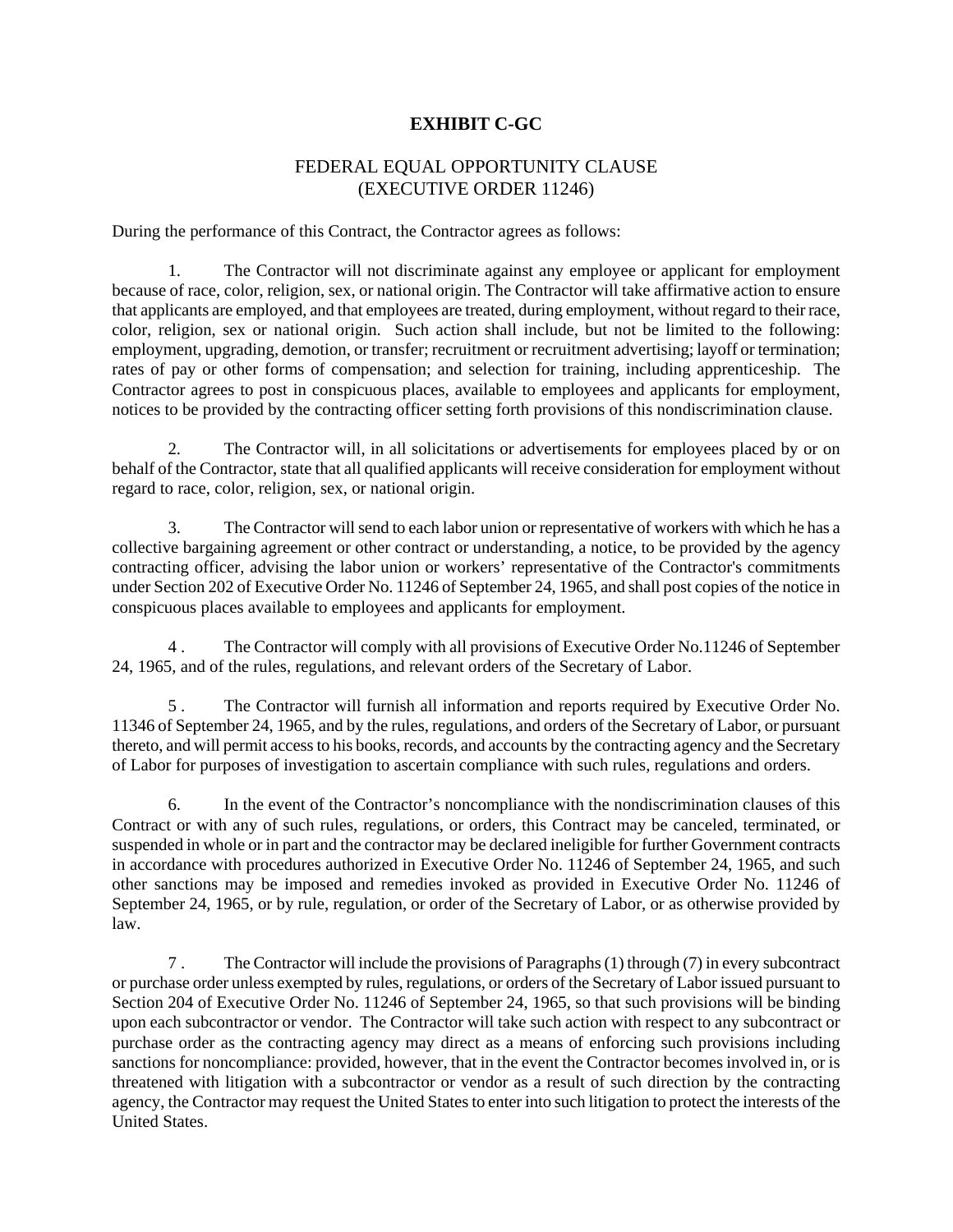# **EXHIBIT C-GC**

### FEDERAL EQUAL OPPORTUNITY CLAUSE (EXECUTIVE ORDER 11246)

During the performance of this Contract, the Contractor agrees as follows:

1. The Contractor will not discriminate against any employee or applicant for employment because of race, color, religion, sex, or national origin. The Contractor will take affirmative action to ensure that applicants are employed, and that employees are treated, during employment, without regard to their race, color, religion, sex or national origin. Such action shall include, but not be limited to the following: employment, upgrading, demotion, or transfer; recruitment or recruitment advertising; layoff or termination; rates of pay or other forms of compensation; and selection for training, including apprenticeship. The Contractor agrees to post in conspicuous places, available to employees and applicants for employment, notices to be provided by the contracting officer setting forth provisions of this nondiscrimination clause.

2. The Contractor will, in all solicitations or advertisements for employees placed by or on behalf of the Contractor, state that all qualified applicants will receive consideration for employment without regard to race, color, religion, sex, or national origin.

3. The Contractor will send to each labor union or representative of workers with which he has a collective bargaining agreement or other contract or understanding, a notice, to be provided by the agency contracting officer, advising the labor union or workers' representative of the Contractor's commitments under Section 202 of Executive Order No. 11246 of September 24, 1965, and shall post copies of the notice in conspicuous places available to employees and applicants for employment.

4 . The Contractor will comply with all provisions of Executive Order No.11246 of September 24, 1965, and of the rules, regulations, and relevant orders of the Secretary of Labor.

5 . The Contractor will furnish all information and reports required by Executive Order No. 11346 of September 24, 1965, and by the rules, regulations, and orders of the Secretary of Labor, or pursuant thereto, and will permit access to his books, records, and accounts by the contracting agency and the Secretary of Labor for purposes of investigation to ascertain compliance with such rules, regulations and orders.

6. In the event of the Contractor's noncompliance with the nondiscrimination clauses of this Contract or with any of such rules, regulations, or orders, this Contract may be canceled, terminated, or suspended in whole or in part and the contractor may be declared ineligible for further Government contracts in accordance with procedures authorized in Executive Order No. 11246 of September 24, 1965, and such other sanctions may be imposed and remedies invoked as provided in Executive Order No. 11246 of September 24, 1965, or by rule, regulation, or order of the Secretary of Labor, or as otherwise provided by law.

7 . The Contractor will include the provisions of Paragraphs (1) through (7) in every subcontract or purchase order unless exempted by rules, regulations, or orders of the Secretary of Labor issued pursuant to Section 204 of Executive Order No. 11246 of September 24, 1965, so that such provisions will be binding upon each subcontractor or vendor. The Contractor will take such action with respect to any subcontract or purchase order as the contracting agency may direct as a means of enforcing such provisions including sanctions for noncompliance: provided, however, that in the event the Contractor becomes involved in, or is threatened with litigation with a subcontractor or vendor as a result of such direction by the contracting agency, the Contractor may request the United States to enter into such litigation to protect the interests of the United States.